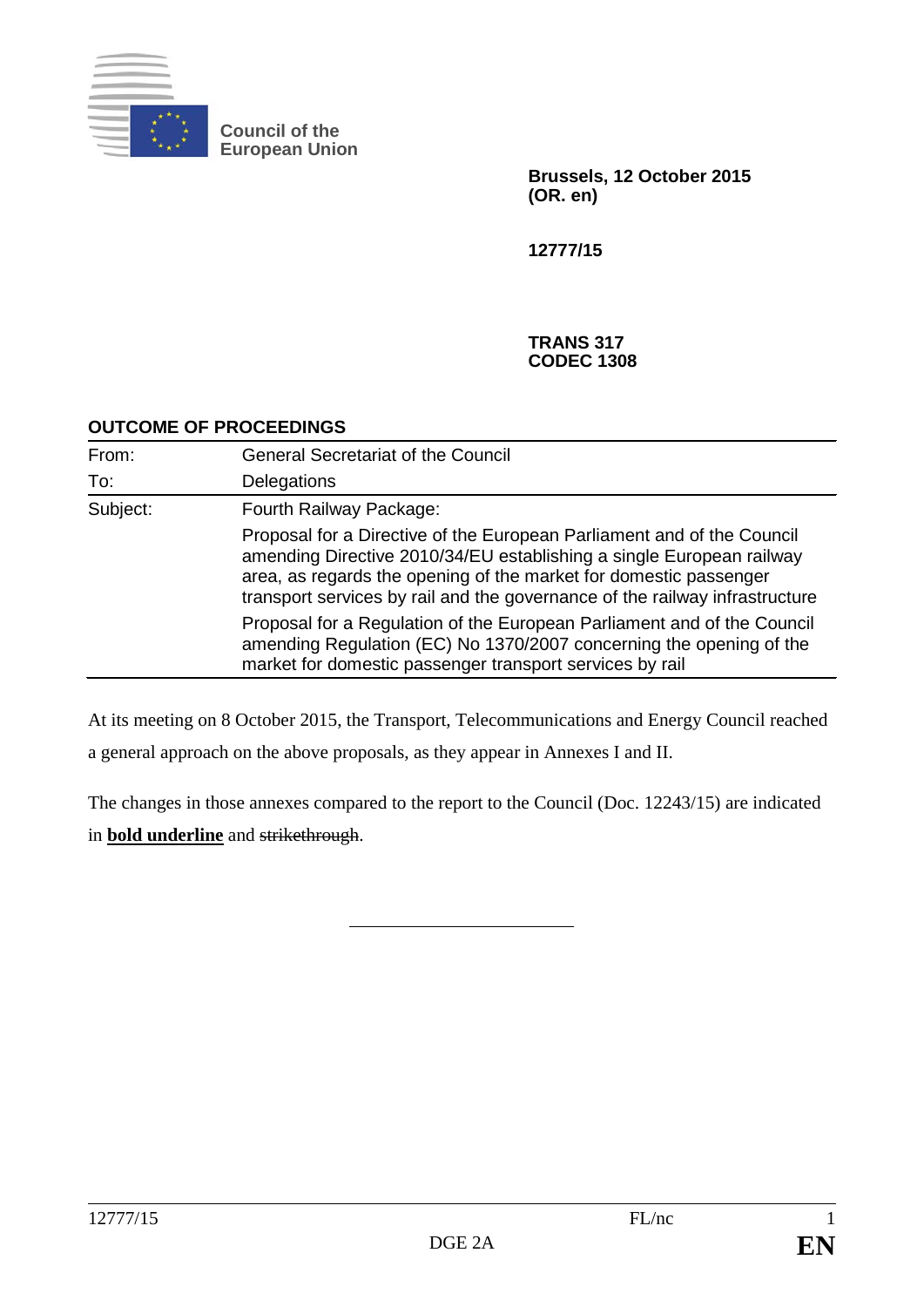

**Council of the European Union**

> **Brussels, 12 October 2015 (OR. en)**

**12777/15**

#### **TRANS 317 CODEC 1308**

#### **OUTCOME OF PROCEEDINGS**

| From:    | <b>General Secretariat of the Council</b>                                                                                                                                                                                                                                                          |
|----------|----------------------------------------------------------------------------------------------------------------------------------------------------------------------------------------------------------------------------------------------------------------------------------------------------|
| To:      | Delegations                                                                                                                                                                                                                                                                                        |
| Subject: | Fourth Railway Package:                                                                                                                                                                                                                                                                            |
|          | Proposal for a Directive of the European Parliament and of the Council<br>amending Directive 2010/34/EU establishing a single European railway<br>area, as regards the opening of the market for domestic passenger<br>transport services by rail and the governance of the railway infrastructure |
|          | Proposal for a Regulation of the European Parliament and of the Council<br>amending Regulation (EC) No 1370/2007 concerning the opening of the<br>market for domestic passenger transport services by rail                                                                                         |

At its meeting on 8 October 2015, the Transport, Telecommunications and Energy Council reached a general approach on the above proposals, as they appear in Annexes I and II.

The changes in those annexes compared to the report to the Council (Doc. 12243/15) are indicated in **bold underline** and strikethrough.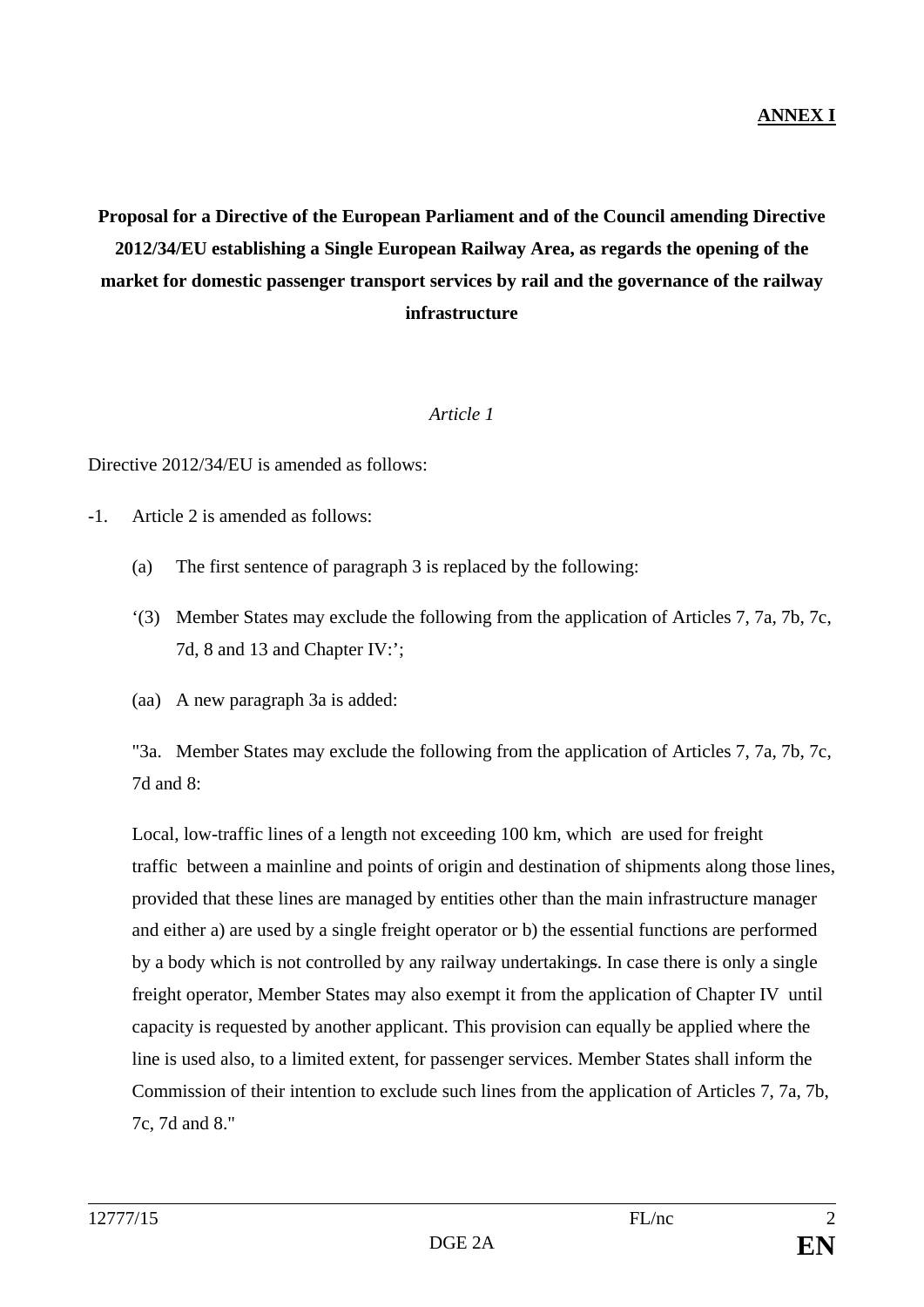# **Proposal for a Directive of the European Parliament and of the Council amending Directive 2012/34/EU establishing a Single European Railway Area, as regards the opening of the market for domestic passenger transport services by rail and the governance of the railway infrastructure**

#### *Article 1*

Directive 2012/34/EU is amended as follows:

-1. Article 2 is amended as follows:

- (a) The first sentence of paragraph 3 is replaced by the following:
- '(3) Member States may exclude the following from the application of Articles 7, 7a, 7b, 7c, 7d, 8 and 13 and Chapter IV:';
- (aa) A new paragraph 3a is added:

"3a. Member States may exclude the following from the application of Articles 7, 7a, 7b, 7c, 7d and 8:

Local, low-traffic lines of a length not exceeding 100 km, which are used for freight traffic between a mainline and points of origin and destination of shipments along those lines, provided that these lines are managed by entities other than the main infrastructure manager and either a) are used by a single freight operator or b) the essential functions are performed by a body which is not controlled by any railway undertakings. In case there is only a single freight operator, Member States may also exempt it from the application of Chapter IV until capacity is requested by another applicant. This provision can equally be applied where the line is used also, to a limited extent, for passenger services. Member States shall inform the Commission of their intention to exclude such lines from the application of Articles 7, 7a, 7b, 7c, 7d and 8."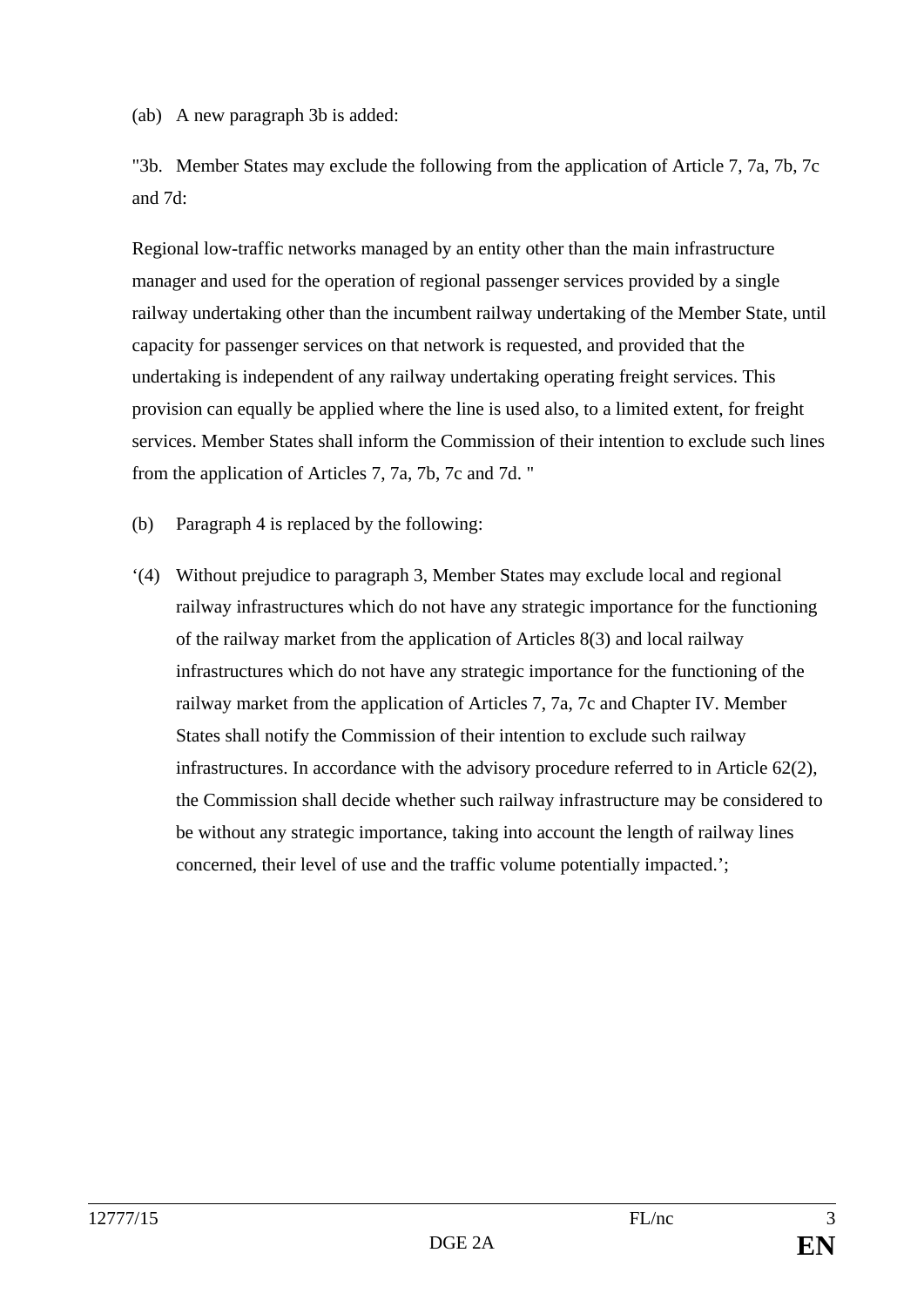(ab) A new paragraph 3b is added:

"3b. Member States may exclude the following from the application of Article 7, 7a, 7b, 7c and 7d:

Regional low-traffic networks managed by an entity other than the main infrastructure manager and used for the operation of regional passenger services provided by a single railway undertaking other than the incumbent railway undertaking of the Member State, until capacity for passenger services on that network is requested, and provided that the undertaking is independent of any railway undertaking operating freight services. This provision can equally be applied where the line is used also, to a limited extent, for freight services. Member States shall inform the Commission of their intention to exclude such lines from the application of Articles 7, 7a, 7b, 7c and 7d. "

(b) Paragraph 4 is replaced by the following:

'(4) Without prejudice to paragraph 3, Member States may exclude local and regional railway infrastructures which do not have any strategic importance for the functioning of the railway market from the application of Articles 8(3) and local railway infrastructures which do not have any strategic importance for the functioning of the railway market from the application of Articles 7, 7a, 7c and Chapter IV. Member States shall notify the Commission of their intention to exclude such railway infrastructures. In accordance with the advisory procedure referred to in Article 62(2), the Commission shall decide whether such railway infrastructure may be considered to be without any strategic importance, taking into account the length of railway lines concerned, their level of use and the traffic volume potentially impacted.';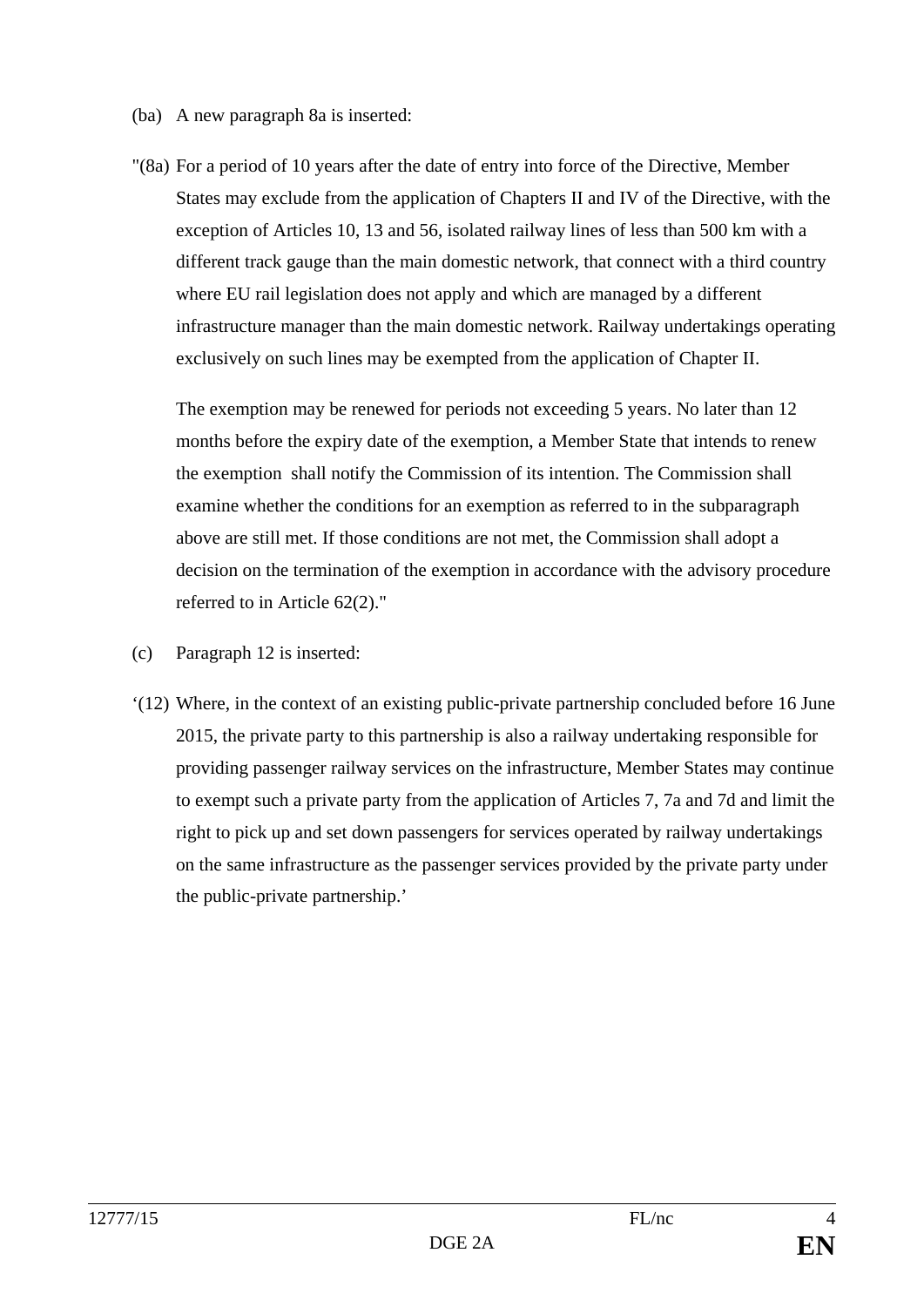- (ba) A new paragraph 8a is inserted:
- "(8a) For a period of 10 years after the date of entry into force of the Directive, Member States may exclude from the application of Chapters II and IV of the Directive, with the exception of Articles 10, 13 and 56, isolated railway lines of less than 500 km with a different track gauge than the main domestic network, that connect with a third country where EU rail legislation does not apply and which are managed by a different infrastructure manager than the main domestic network. Railway undertakings operating exclusively on such lines may be exempted from the application of Chapter II.

The exemption may be renewed for periods not exceeding 5 years. No later than 12 months before the expiry date of the exemption, a Member State that intends to renew the exemption shall notify the Commission of its intention. The Commission shall examine whether the conditions for an exemption as referred to in the subparagraph above are still met. If those conditions are not met, the Commission shall adopt a decision on the termination of the exemption in accordance with the advisory procedure referred to in Article 62(2)."

- (c) Paragraph 12 is inserted:
- '(12) Where, in the context of an existing public-private partnership concluded before 16 June 2015, the private party to this partnership is also a railway undertaking responsible for providing passenger railway services on the infrastructure, Member States may continue to exempt such a private party from the application of Articles 7, 7a and 7d and limit the right to pick up and set down passengers for services operated by railway undertakings on the same infrastructure as the passenger services provided by the private party under the public-private partnership.'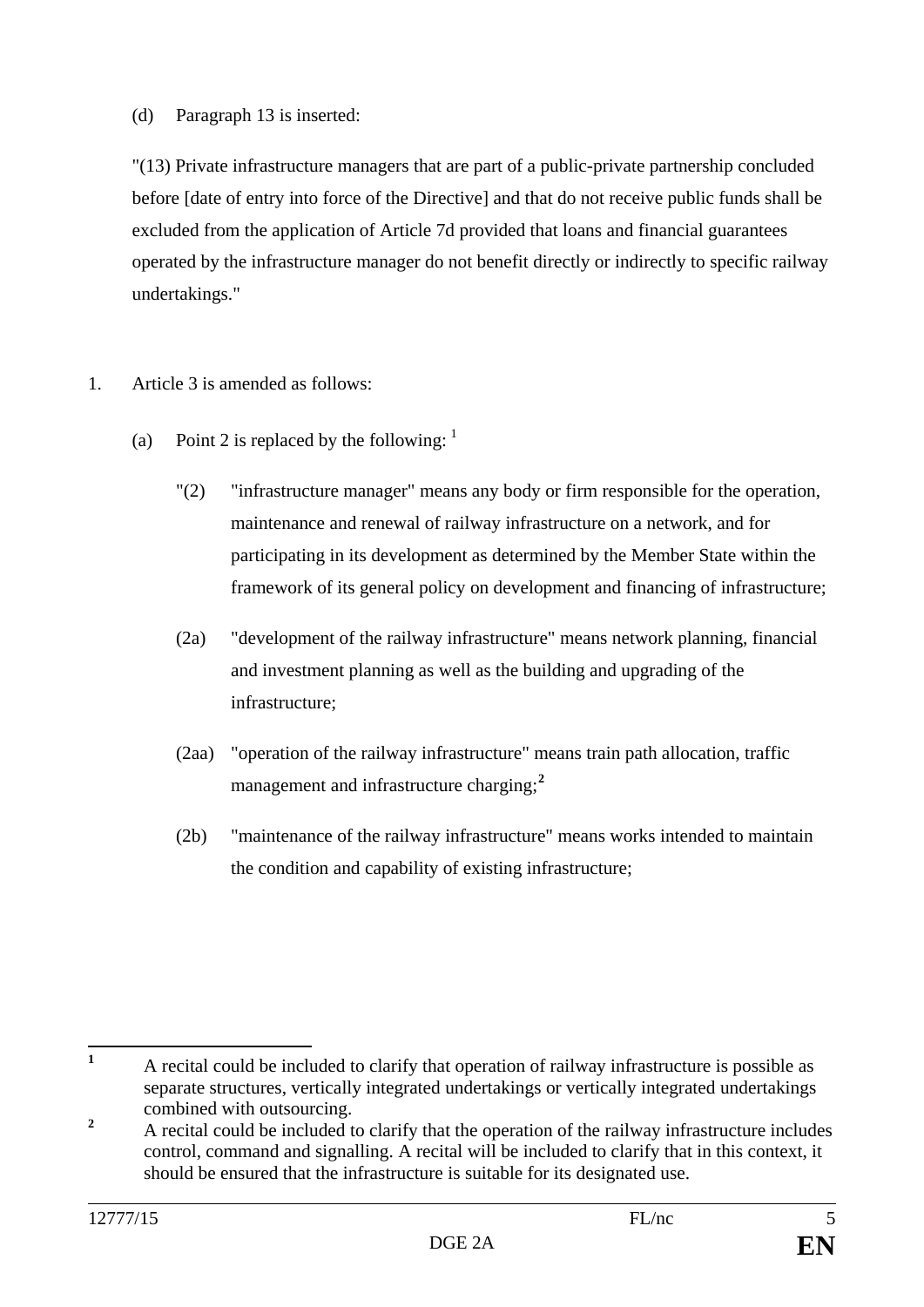### (d) Paragraph 13 is inserted:

"(13) Private infrastructure managers that are part of a public-private partnership concluded before [date of entry into force of the Directive] and that do not receive public funds shall be excluded from the application of Article 7d provided that loans and financial guarantees operated by the infrastructure manager do not benefit directly or indirectly to specific railway undertakings."

- 1. Article 3 is amended as follows:
	- (a) Point 2 is replaced by the following:  $\frac{1}{1}$  $\frac{1}{1}$  $\frac{1}{1}$ 
		- "(2) "infrastructure manager" means any body or firm responsible for the operation, maintenance and renewal of railway infrastructure on a network, and for participating in its development as determined by the Member State within the framework of its general policy on development and financing of infrastructure;
		- (2a) "development of the railway infrastructure" means network planning, financial and investment planning as well as the building and upgrading of the infrastructure;
		- (2aa) "operation of the railway infrastructure" means train path allocation, traffic management and infrastructure charging;**[2](#page-4-1)**
		- (2b) "maintenance of the railway infrastructure" means works intended to maintain the condition and capability of existing infrastructure;

<span id="page-4-0"></span>**<sup>1</sup>** A recital could be included to clarify that operation of railway infrastructure is possible as separate structures, vertically integrated undertakings or vertically integrated undertakings combined with outsourcing.

<span id="page-4-1"></span><sup>&</sup>lt;sup>2</sup> A recital could be included to clarify that the operation of the railway infrastructure includes control, command and signalling. A recital will be included to clarify that in this context, it should be ensured that the infrastructure is suitable for its designated use.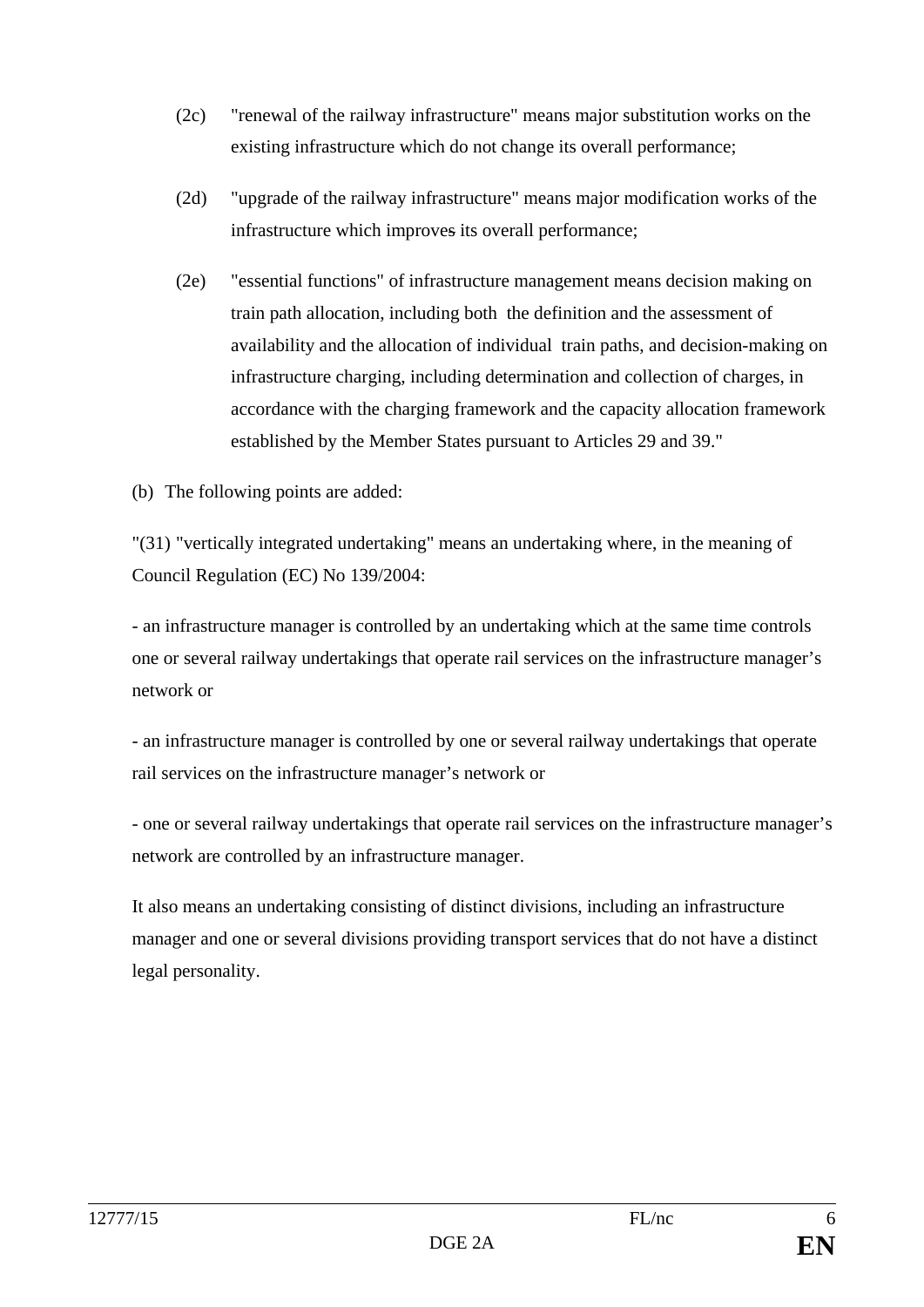- (2c) "renewal of the railway infrastructure" means major substitution works on the existing infrastructure which do not change its overall performance;
- (2d) "upgrade of the railway infrastructure" means major modification works of the infrastructure which improves its overall performance;
- (2e) "essential functions" of infrastructure management means decision making on train path allocation, including both the definition and the assessment of availability and the allocation of individual train paths, and decision-making on infrastructure charging, including determination and collection of charges, in accordance with the charging framework and the capacity allocation framework established by the Member States pursuant to Articles 29 and 39."
- (b) The following points are added:

"(31) "vertically integrated undertaking" means an undertaking where, in the meaning of Council Regulation (EC) No 139/2004:

- an infrastructure manager is controlled by an undertaking which at the same time controls one or several railway undertakings that operate rail services on the infrastructure manager's network or

- an infrastructure manager is controlled by one or several railway undertakings that operate rail services on the infrastructure manager's network or

- one or several railway undertakings that operate rail services on the infrastructure manager's network are controlled by an infrastructure manager.

It also means an undertaking consisting of distinct divisions, including an infrastructure manager and one or several divisions providing transport services that do not have a distinct legal personality.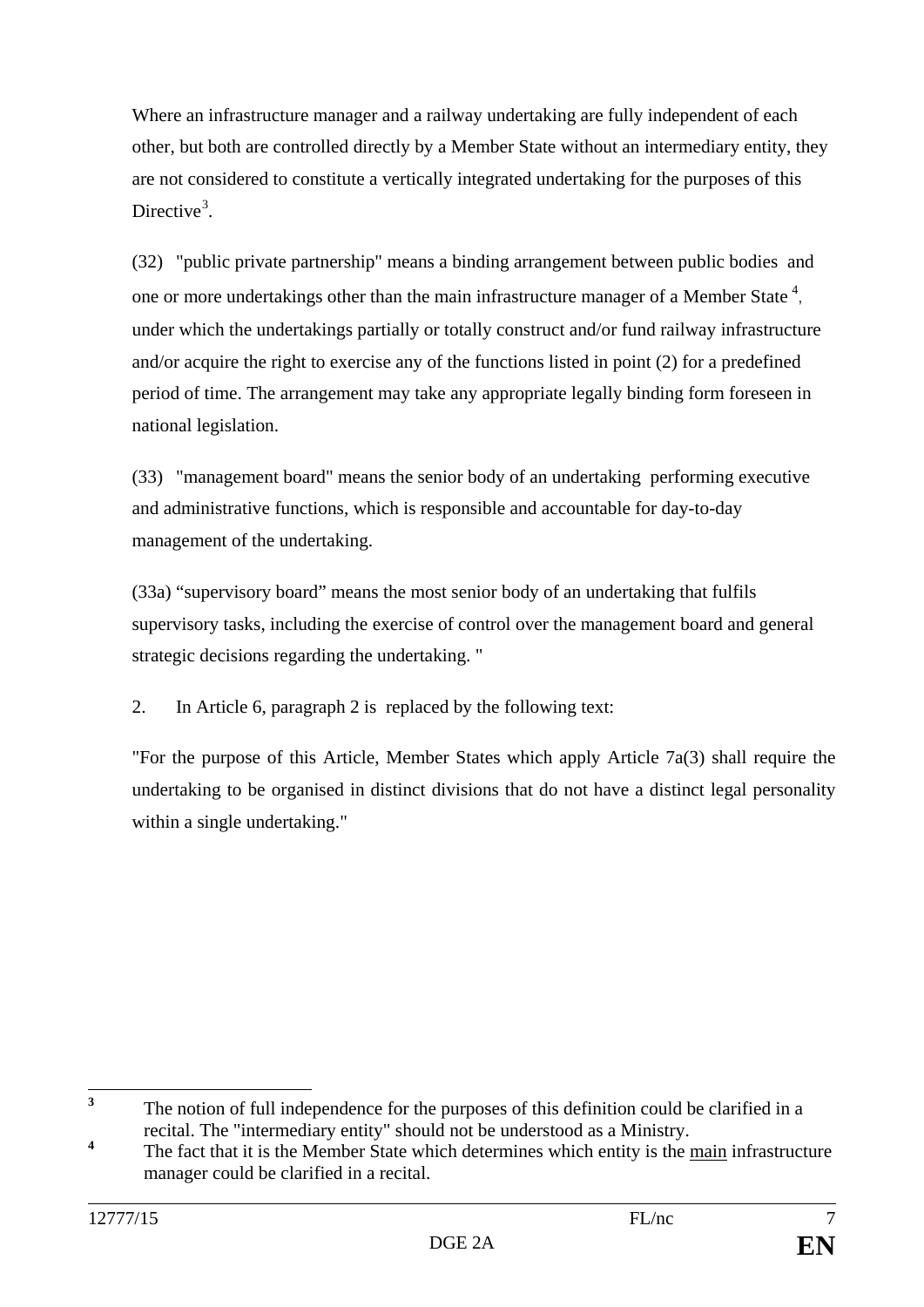Where an infrastructure manager and a railway undertaking are fully independent of each other, but both are controlled directly by a Member State without an intermediary entity, they are not considered to constitute a vertically integrated undertaking for the purposes of this Directive<sup>[3](#page-6-0)</sup>.

(32) "public private partnership" means a binding arrangement between public bodies and one or more undertakings other than the main infrastructure manager of a Member State  $4$ , under which the undertakings partially or totally construct and/or fund railway infrastructure and/or acquire the right to exercise any of the functions listed in point (2) for a predefined period of time. The arrangement may take any appropriate legally binding form foreseen in national legislation.

(33) "management board" means the senior body of an undertaking performing executive and administrative functions, which is responsible and accountable for day-to-day management of the undertaking.

(33a) "supervisory board" means the most senior body of an undertaking that fulfils supervisory tasks, including the exercise of control over the management board and general strategic decisions regarding the undertaking. "

2. In Article 6, paragraph 2 is replaced by the following text:

"For the purpose of this Article, Member States which apply Article 7a(3) shall require the undertaking to be organised in distinct divisions that do not have a distinct legal personality within a single undertaking."

<span id="page-6-0"></span><sup>&</sup>lt;sup>3</sup> The notion of full independence for the purposes of this definition could be clarified in a recital. The "intermediary entity" should not be understood as a Ministry.

<span id="page-6-1"></span><sup>&</sup>lt;sup>4</sup> The fact that it is the Member State which determines which entity is the main infrastructure manager could be clarified in a recital.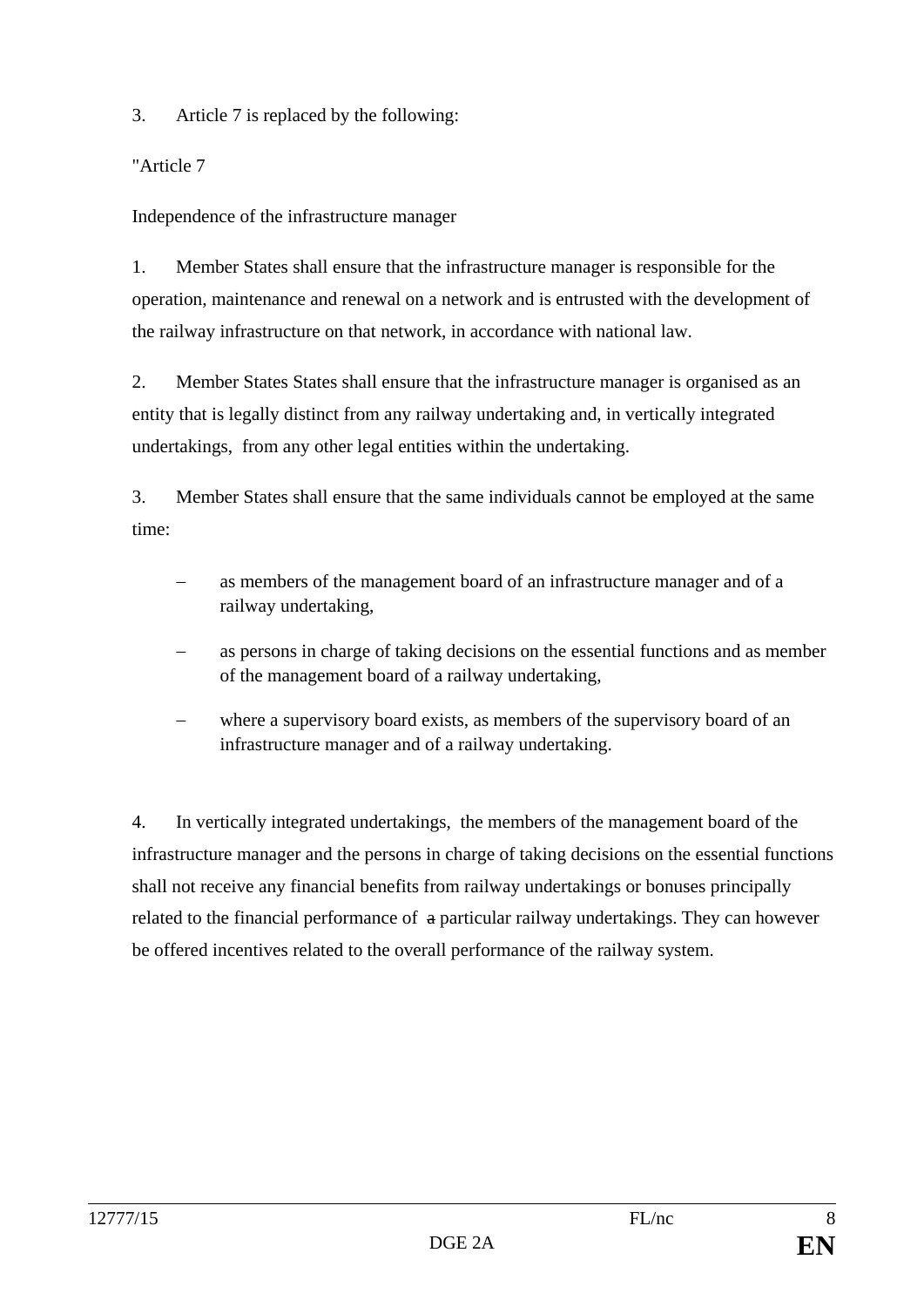3. Article 7 is replaced by the following:

"Article 7

Independence of the infrastructure manager

1. Member States shall ensure that the infrastructure manager is responsible for the operation, maintenance and renewal on a network and is entrusted with the development of the railway infrastructure on that network, in accordance with national law.

2. Member States States shall ensure that the infrastructure manager is organised as an entity that is legally distinct from any railway undertaking and, in vertically integrated undertakings, from any other legal entities within the undertaking.

3. Member States shall ensure that the same individuals cannot be employed at the same time:

- as members of the management board of an infrastructure manager and of a railway undertaking,
- as persons in charge of taking decisions on the essential functions and as member of the management board of a railway undertaking,
- where a supervisory board exists, as members of the supervisory board of an infrastructure manager and of a railway undertaking.

4. In vertically integrated undertakings, the members of the management board of the infrastructure manager and the persons in charge of taking decisions on the essential functions shall not receive any financial benefits from railway undertakings or bonuses principally related to the financial performance of a particular railway undertakings. They can however be offered incentives related to the overall performance of the railway system.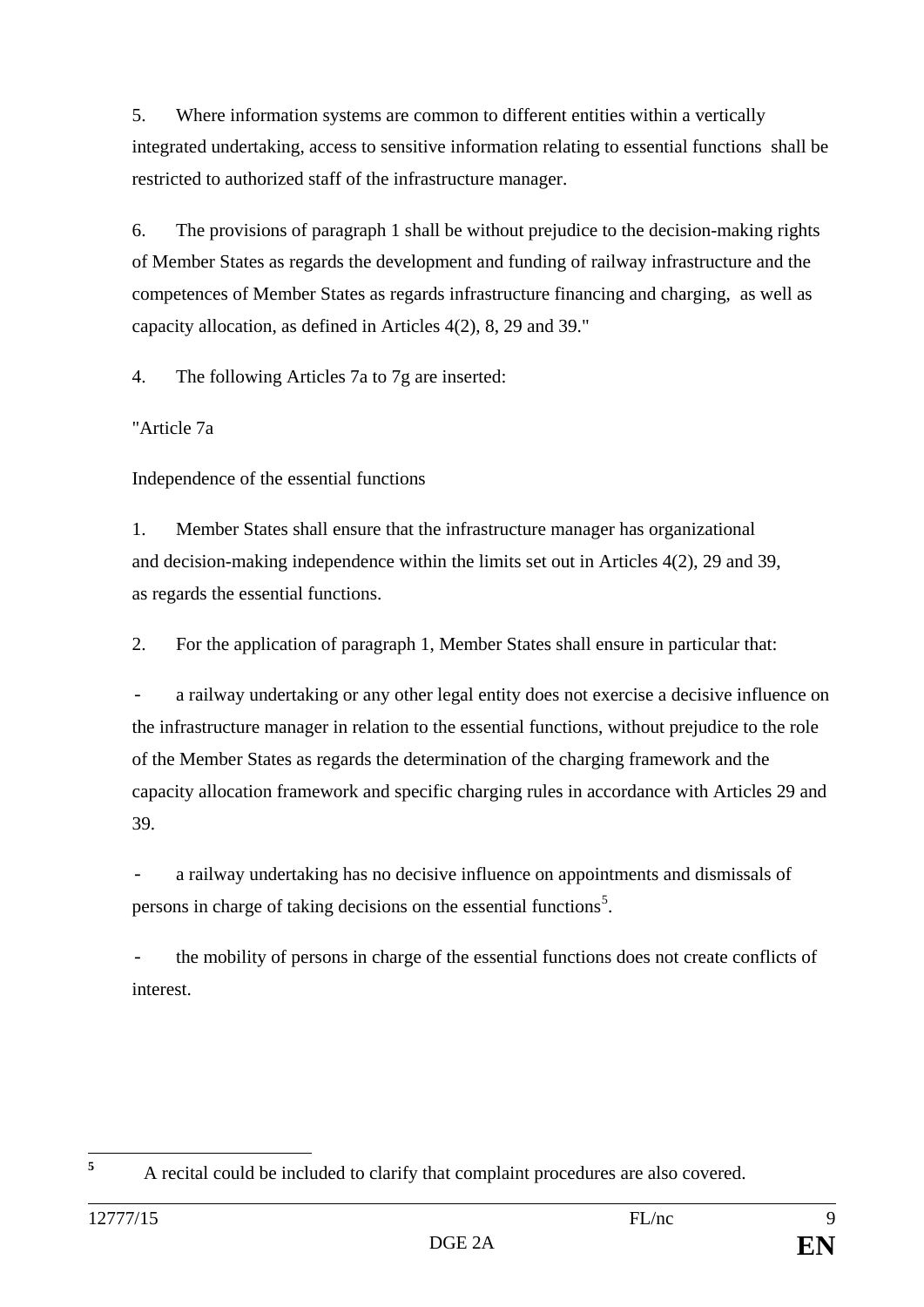5. Where information systems are common to different entities within a vertically integrated undertaking, access to sensitive information relating to essential functions shall be restricted to authorized staff of the infrastructure manager.

6. The provisions of paragraph 1 shall be without prejudice to the decision-making rights of Member States as regards the development and funding of railway infrastructure and the competences of Member States as regards infrastructure financing and charging, as well as capacity allocation, as defined in Articles 4(2), 8, 29 and 39."

4. The following Articles 7a to 7g are inserted:

"Article 7a

Independence of the essential functions

1. Member States shall ensure that the infrastructure manager has organizational and decision-making independence within the limits set out in Articles 4(2), 29 and 39, as regards the essential functions.

2. For the application of paragraph 1, Member States shall ensure in particular that:

a railway undertaking or any other legal entity does not exercise a decisive influence on the infrastructure manager in relation to the essential functions, without prejudice to the role of the Member States as regards the determination of the charging framework and the capacity allocation framework and specific charging rules in accordance with Articles 29 and 39.

a railway undertaking has no decisive influence on appointments and dismissals of persons in charge of taking decisions on the essential functions<sup>[5](#page-8-0)</sup>.

the mobility of persons in charge of the essential functions does not create conflicts of interest.

<span id="page-8-0"></span>**<sup>5</sup>** A recital could be included to clarify that complaint procedures are also covered.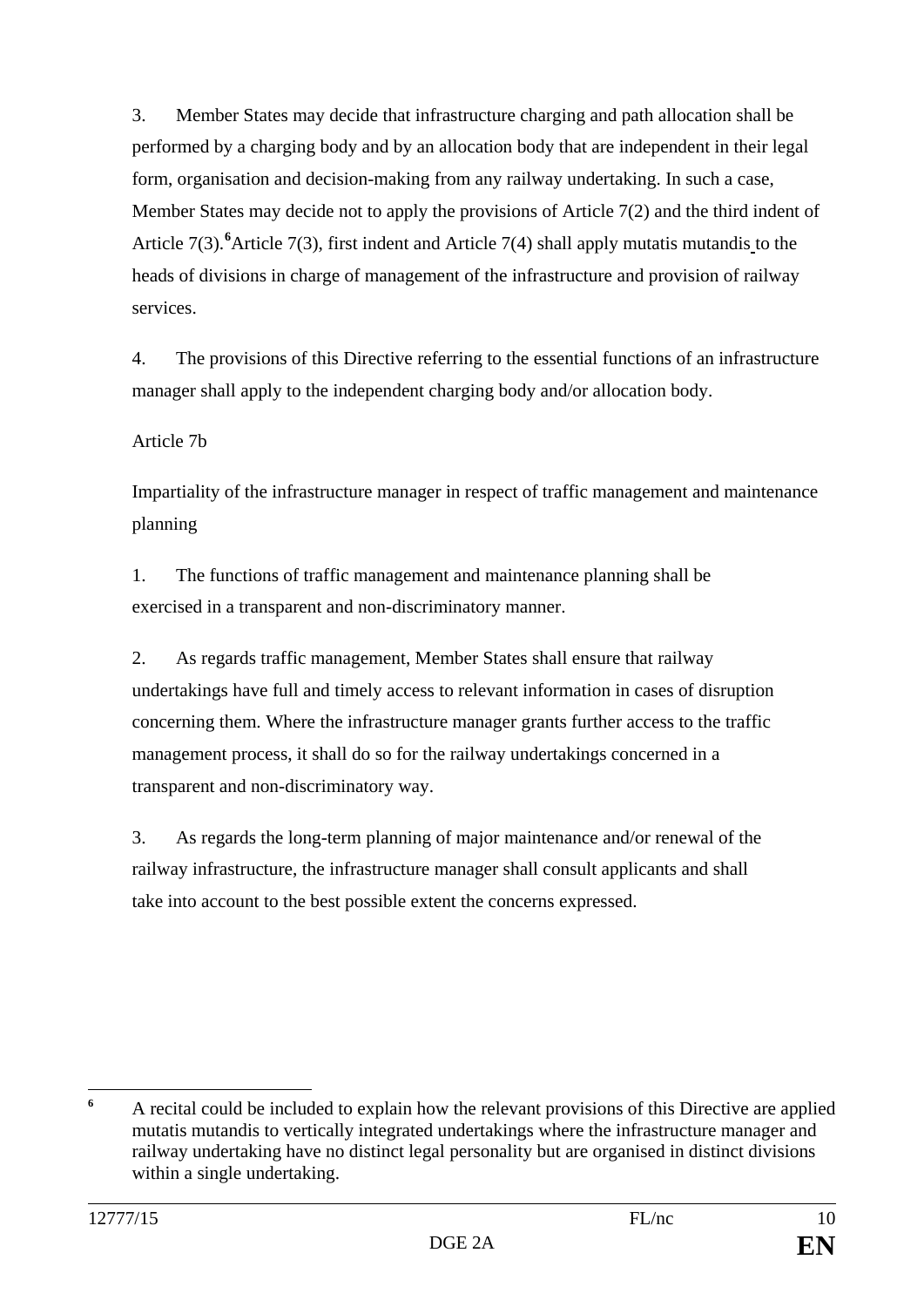3. Member States may decide that infrastructure charging and path allocation shall be performed by a charging body and by an allocation body that are independent in their legal form, organisation and decision-making from any railway undertaking. In such a case, Member States may decide not to apply the provisions of Article 7(2) and the third indent of Article 7(3). <sup>[6](#page-9-0)</sup> Article 7(3), first indent and Article 7(4) shall apply mutatis mutandis to the heads of divisions in charge of management of the infrastructure and provision of railway services.

4. The provisions of this Directive referring to the essential functions of an infrastructure manager shall apply to the independent charging body and/or allocation body.

Article 7b

Impartiality of the infrastructure manager in respect of traffic management and maintenance planning

1. The functions of traffic management and maintenance planning shall be exercised in a transparent and non-discriminatory manner.

2. As regards traffic management, Member States shall ensure that railway undertakings have full and timely access to relevant information in cases of disruption concerning them. Where the infrastructure manager grants further access to the traffic management process, it shall do so for the railway undertakings concerned in a transparent and non-discriminatory way.

3. As regards the long-term planning of major maintenance and/or renewal of the railway infrastructure, the infrastructure manager shall consult applicants and shall take into account to the best possible extent the concerns expressed.

<span id="page-9-0"></span> $\epsilon$ **<sup>6</sup>** A recital could be included to explain how the relevant provisions of this Directive are applied mutatis mutandis to vertically integrated undertakings where the infrastructure manager and railway undertaking have no distinct legal personality but are organised in distinct divisions within a single undertaking.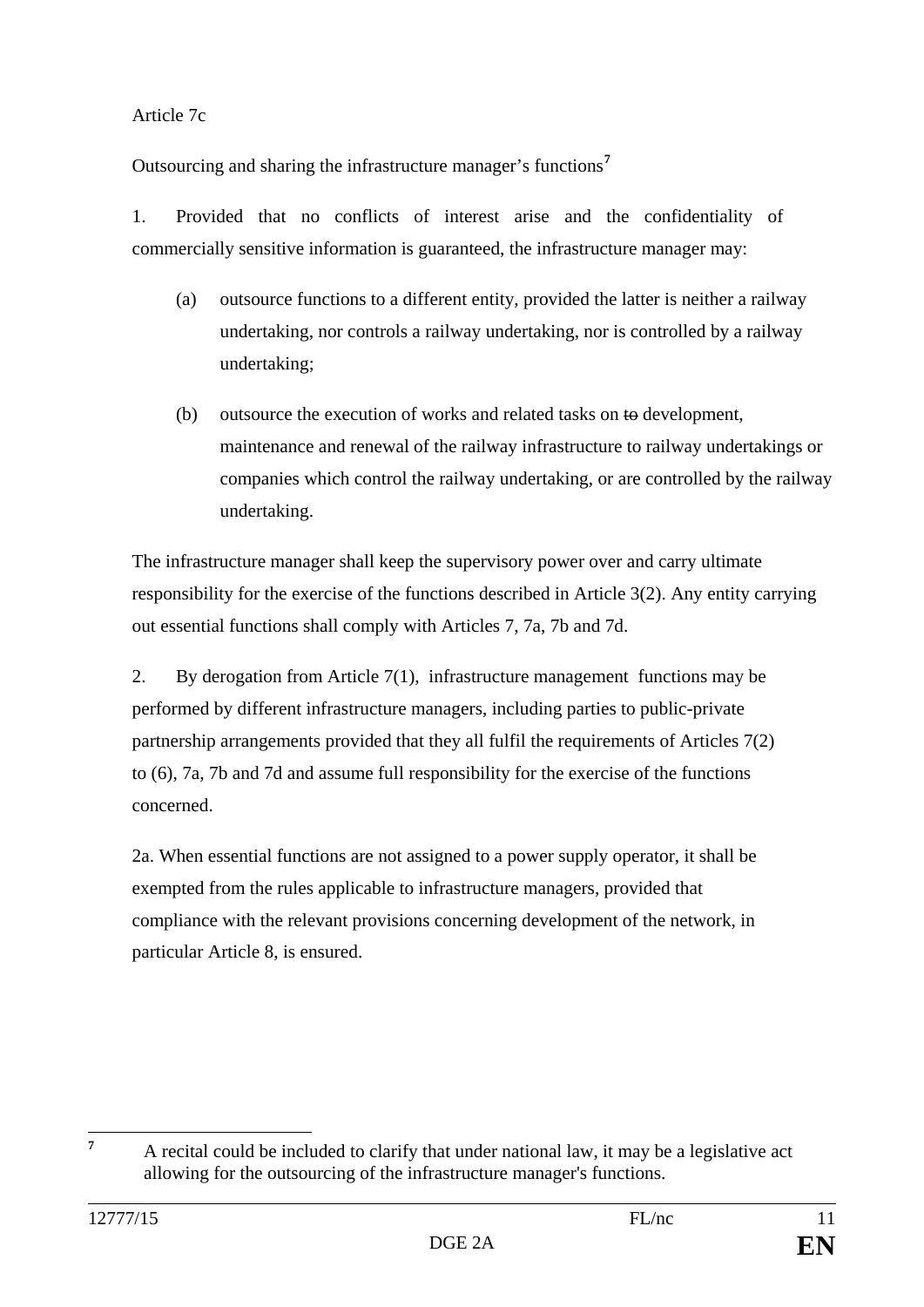#### Article 7c

Outsourcing and sharing the infrastructure manager's functions**[7](#page-10-0)**

1. Provided that no conflicts of interest arise and the confidentiality of commercially sensitive information is guaranteed, the infrastructure manager may:

- (a) outsource functions to a different entity, provided the latter is neither a railway undertaking, nor controls a railway undertaking, nor is controlled by a railway undertaking;
- (b) outsource the execution of works and related tasks on to development, maintenance and renewal of the railway infrastructure to railway undertakings or companies which control the railway undertaking, or are controlled by the railway undertaking.

The infrastructure manager shall keep the supervisory power over and carry ultimate responsibility for the exercise of the functions described in Article 3(2). Any entity carrying out essential functions shall comply with Articles 7, 7a, 7b and 7d.

2. By derogation from Article 7(1), infrastructure management functions may be performed by different infrastructure managers, including parties to public-private partnership arrangements provided that they all fulfil the requirements of Articles 7(2) to (6), 7a, 7b and 7d and assume full responsibility for the exercise of the functions concerned.

2a. When essential functions are not assigned to a power supply operator, it shall be exempted from the rules applicable to infrastructure managers, provided that compliance with the relevant provisions concerning development of the network, in particular Article 8, is ensured.

<span id="page-10-0"></span><sup>&</sup>lt;sup>7</sup> A recital could be included to clarify that under national law, it may be a legislative act allowing for the outsourcing of the infrastructure manager's functions.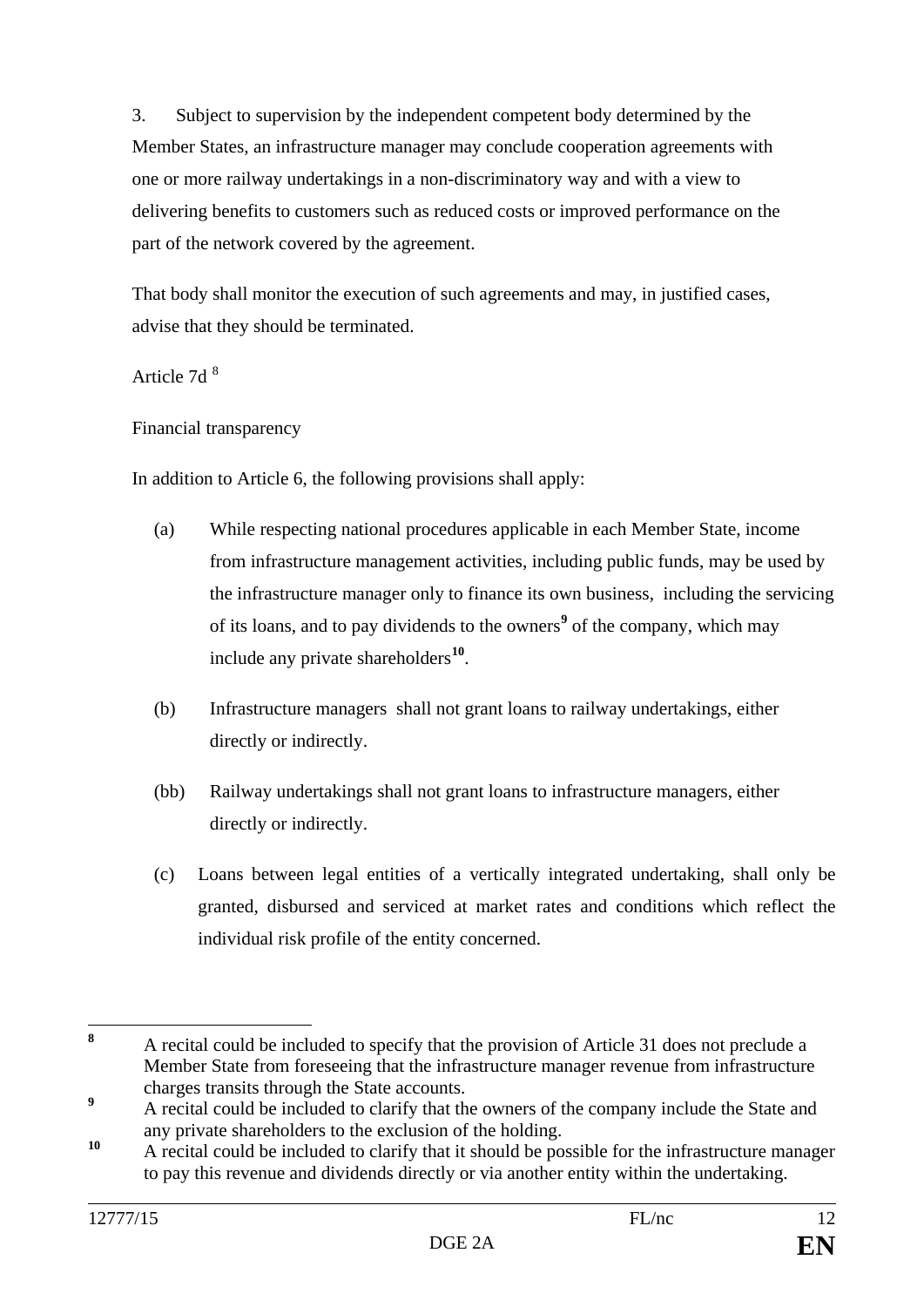3. Subject to supervision by the independent competent body determined by the Member States, an infrastructure manager may conclude cooperation agreements with one or more railway undertakings in a non-discriminatory way and with a view to delivering benefits to customers such as reduced costs or improved performance on the part of the network covered by the agreement.

That body shall monitor the execution of such agreements and may, in justified cases, advise that they should be terminated.

### Article 7d [8](#page-11-0)

Financial transparency

In addition to Article 6, the following provisions shall apply:

- (a) While respecting national procedures applicable in each Member State, income from infrastructure management activities, including public funds, may be used by the infrastructure manager only to finance its own business, including the servicing of its loans, and to pay dividends to the owners**[9](#page-11-1)** of the company, which may include any private shareholders**[10](#page-11-2)**.
- (b) Infrastructure managers shall not grant loans to railway undertakings, either directly or indirectly.
- (bb) Railway undertakings shall not grant loans to infrastructure managers, either directly or indirectly.
- (c) Loans between legal entities of a vertically integrated undertaking, shall only be granted, disbursed and serviced at market rates and conditions which reflect the individual risk profile of the entity concerned.

<span id="page-11-0"></span>**<sup>8</sup>** A recital could be included to specify that the provision of Article 31 does not preclude a Member State from foreseeing that the infrastructure manager revenue from infrastructure charges transits through the State accounts.

<span id="page-11-1"></span><sup>&</sup>lt;sup>9</sup> A recital could be included to clarify that the owners of the company include the State and any private shareholders to the exclusion of the holding.

<span id="page-11-2"></span><sup>&</sup>lt;sup>10</sup> A recital could be included to clarify that it should be possible for the infrastructure manager to pay this revenue and dividends directly or via another entity within the undertaking.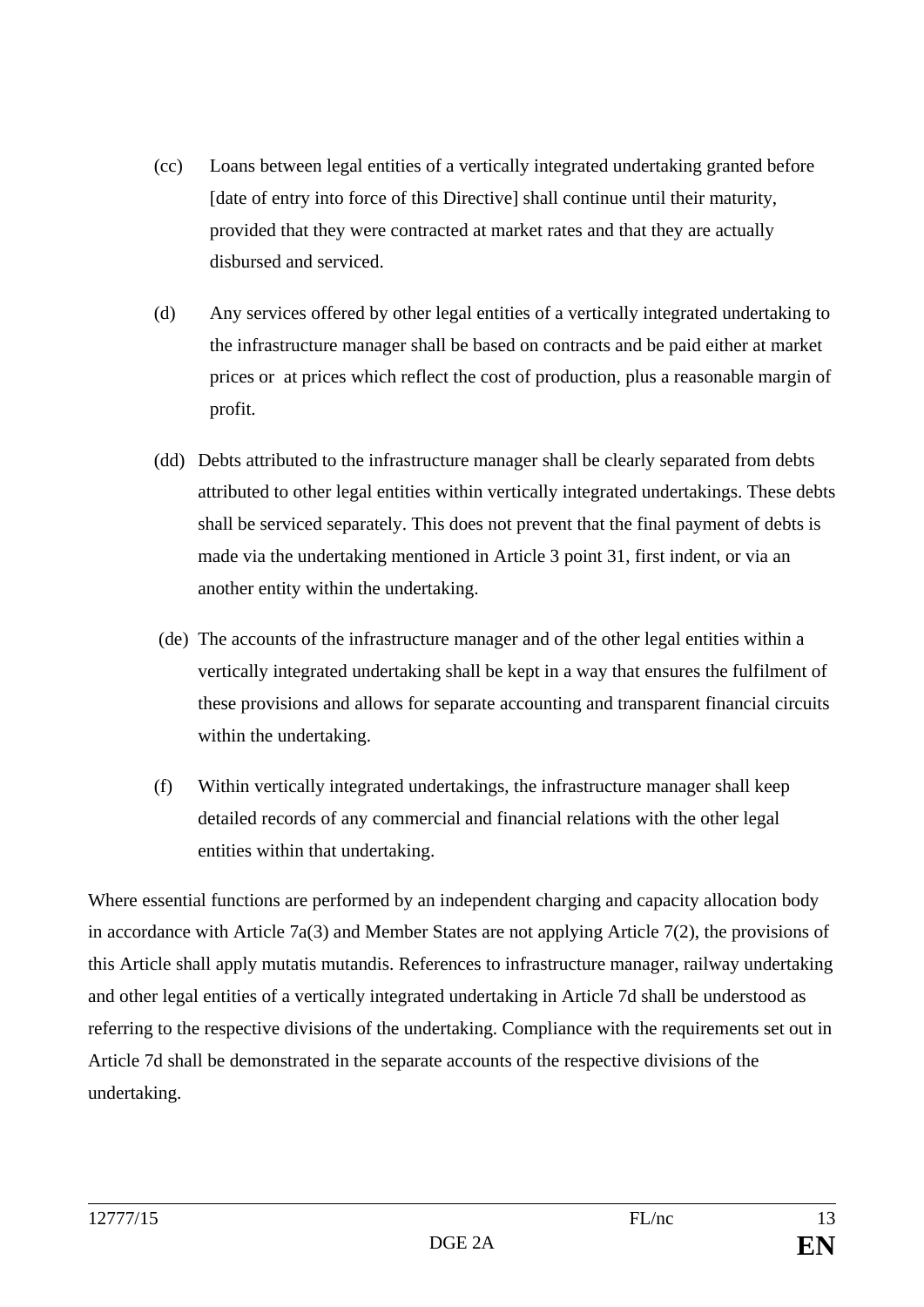- (cc) Loans between legal entities of a vertically integrated undertaking granted before [date of entry into force of this Directive] shall continue until their maturity, provided that they were contracted at market rates and that they are actually disbursed and serviced.
- (d) Any services offered by other legal entities of a vertically integrated undertaking to the infrastructure manager shall be based on contracts and be paid either at market prices or at prices which reflect the cost of production, plus a reasonable margin of profit.
- (dd) Debts attributed to the infrastructure manager shall be clearly separated from debts attributed to other legal entities within vertically integrated undertakings. These debts shall be serviced separately. This does not prevent that the final payment of debts is made via the undertaking mentioned in Article 3 point 31, first indent, or via an another entity within the undertaking.
- (de) The accounts of the infrastructure manager and of the other legal entities within a vertically integrated undertaking shall be kept in a way that ensures the fulfilment of these provisions and allows for separate accounting and transparent financial circuits within the undertaking.
- (f) Within vertically integrated undertakings, the infrastructure manager shall keep detailed records of any commercial and financial relations with the other legal entities within that undertaking.

Where essential functions are performed by an independent charging and capacity allocation body in accordance with Article 7a(3) and Member States are not applying Article 7(2), the provisions of this Article shall apply mutatis mutandis. References to infrastructure manager, railway undertaking and other legal entities of a vertically integrated undertaking in Article 7d shall be understood as referring to the respective divisions of the undertaking. Compliance with the requirements set out in Article 7d shall be demonstrated in the separate accounts of the respective divisions of the undertaking.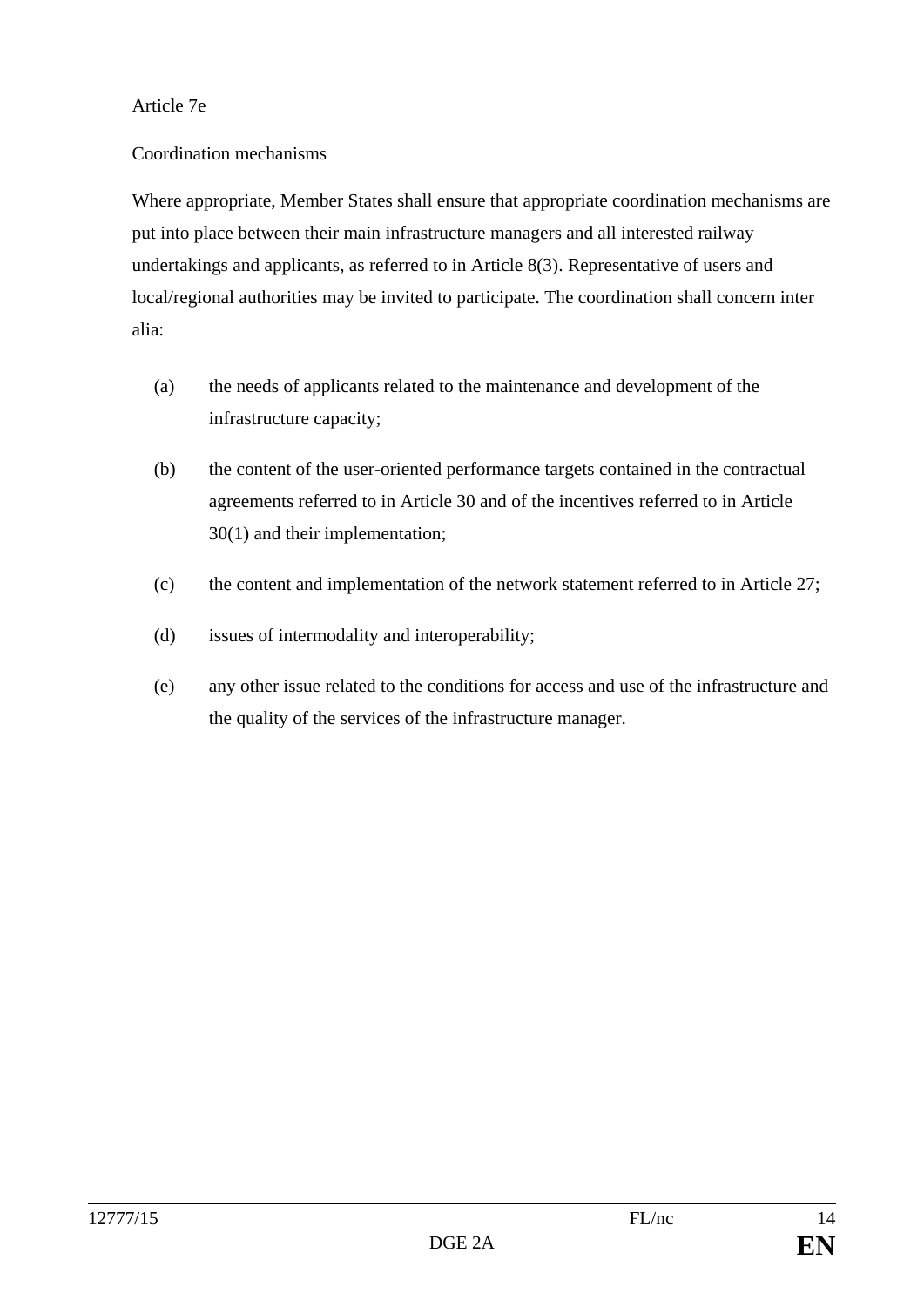#### Article 7e

#### Coordination mechanisms

Where appropriate, Member States shall ensure that appropriate coordination mechanisms are put into place between their main infrastructure managers and all interested railway undertakings and applicants, as referred to in Article 8(3). Representative of users and local/regional authorities may be invited to participate. The coordination shall concern inter alia:

- (a) the needs of applicants related to the maintenance and development of the infrastructure capacity;
- (b) the content of the user-oriented performance targets contained in the contractual agreements referred to in Article 30 and of the incentives referred to in Article 30(1) and their implementation;
- (c) the content and implementation of the network statement referred to in Article 27;
- (d) issues of intermodality and interoperability;
- (e) any other issue related to the conditions for access and use of the infrastructure and the quality of the services of the infrastructure manager.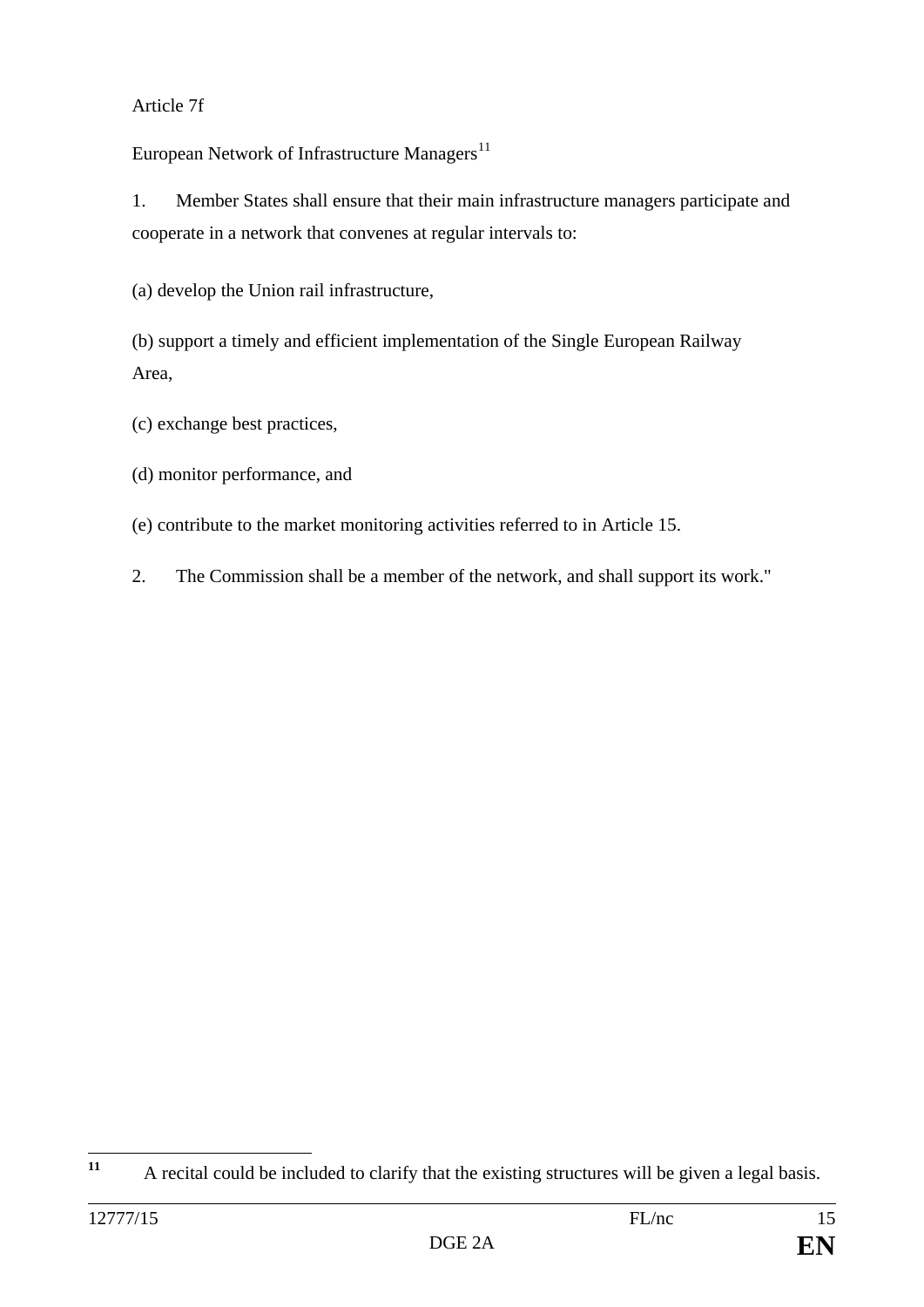# Article 7f

European Network of Infrastructure Managers<sup>[11](#page-14-0)</sup>

1. Member States shall ensure that their main infrastructure managers participate and cooperate in a network that convenes at regular intervals to:

(a) develop the Union rail infrastructure,

(b) support a timely and efficient implementation of the Single European Railway Area,

- (c) exchange best practices,
- (d) monitor performance, and
- (e) contribute to the market monitoring activities referred to in Article 15.
- 2. The Commission shall be a member of the network, and shall support its work."

<span id="page-14-0"></span>**<sup>11</sup>** A recital could be included to clarify that the existing structures will be given a legal basis.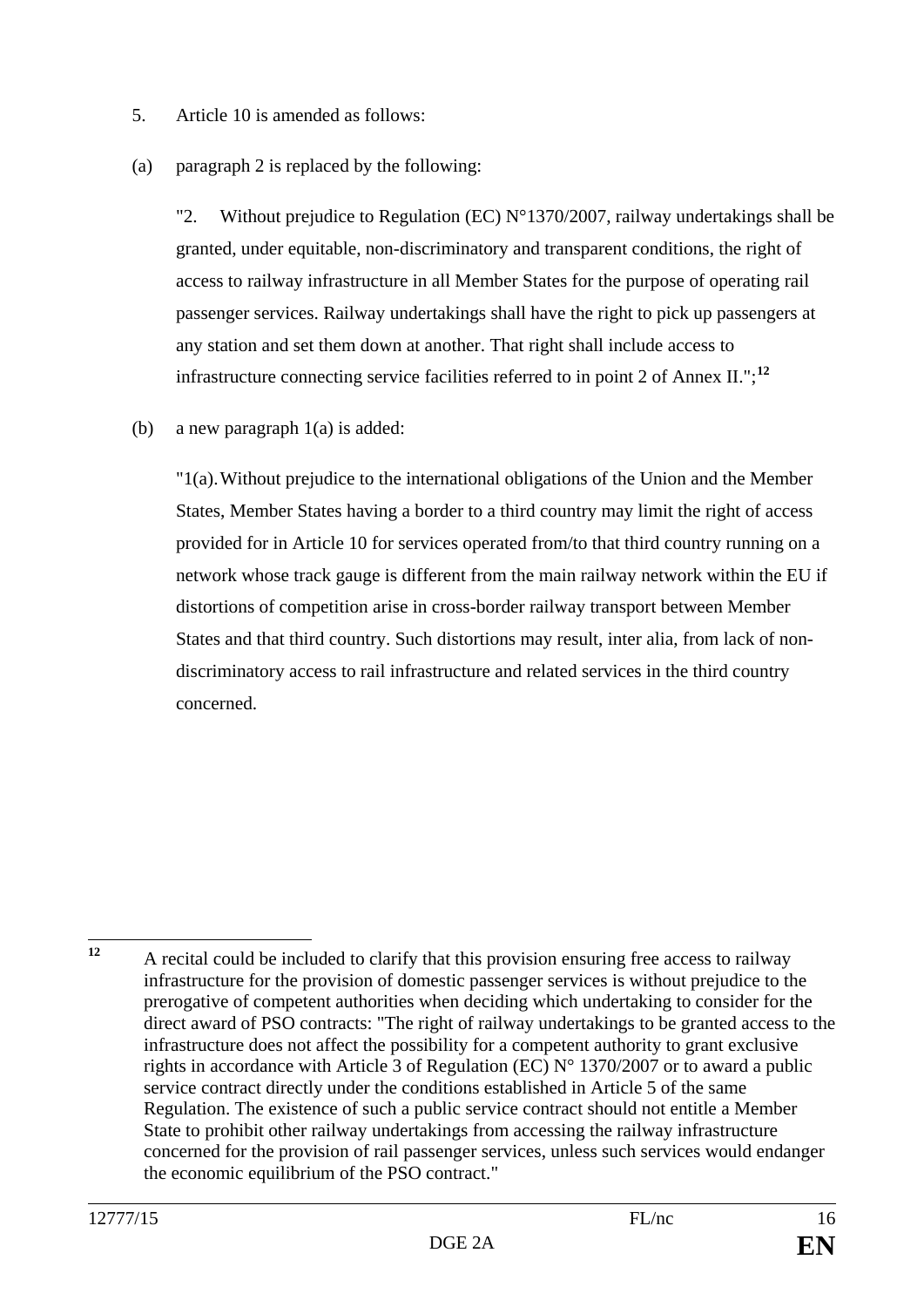- 5. Article 10 is amended as follows:
- (a) paragraph 2 is replaced by the following:

"2. Without prejudice to Regulation (EC)  $N^{\circ}$ 1370/2007, railway undertakings shall be granted, under equitable, non-discriminatory and transparent conditions, the right of access to railway infrastructure in all Member States for the purpose of operating rail passenger services. Railway undertakings shall have the right to pick up passengers at any station and set them down at another. That right shall include access to infrastructure connecting service facilities referred to in point 2 of Annex II.";**[12](#page-15-0)**

(b) a new paragraph 1(a) is added:

"1(a).Without prejudice to the international obligations of the Union and the Member States, Member States having a border to a third country may limit the right of access provided for in Article 10 for services operated from/to that third country running on a network whose track gauge is different from the main railway network within the EU if distortions of competition arise in cross-border railway transport between Member States and that third country. Such distortions may result, inter alia, from lack of nondiscriminatory access to rail infrastructure and related services in the third country concerned.

<span id="page-15-0"></span><sup>&</sup>lt;sup>12</sup> A recital could be included to clarify that this provision ensuring free access to railway infrastructure for the provision of domestic passenger services is without prejudice to the prerogative of competent authorities when deciding which undertaking to consider for the direct award of PSO contracts: "The right of railway undertakings to be granted access to the infrastructure does not affect the possibility for a competent authority to grant exclusive rights in accordance with Article 3 of Regulation (EC) N° 1370/2007 or to award a public service contract directly under the conditions established in Article 5 of the same Regulation. The existence of such a public service contract should not entitle a Member State to prohibit other railway undertakings from accessing the railway infrastructure concerned for the provision of rail passenger services, unless such services would endanger the economic equilibrium of the PSO contract."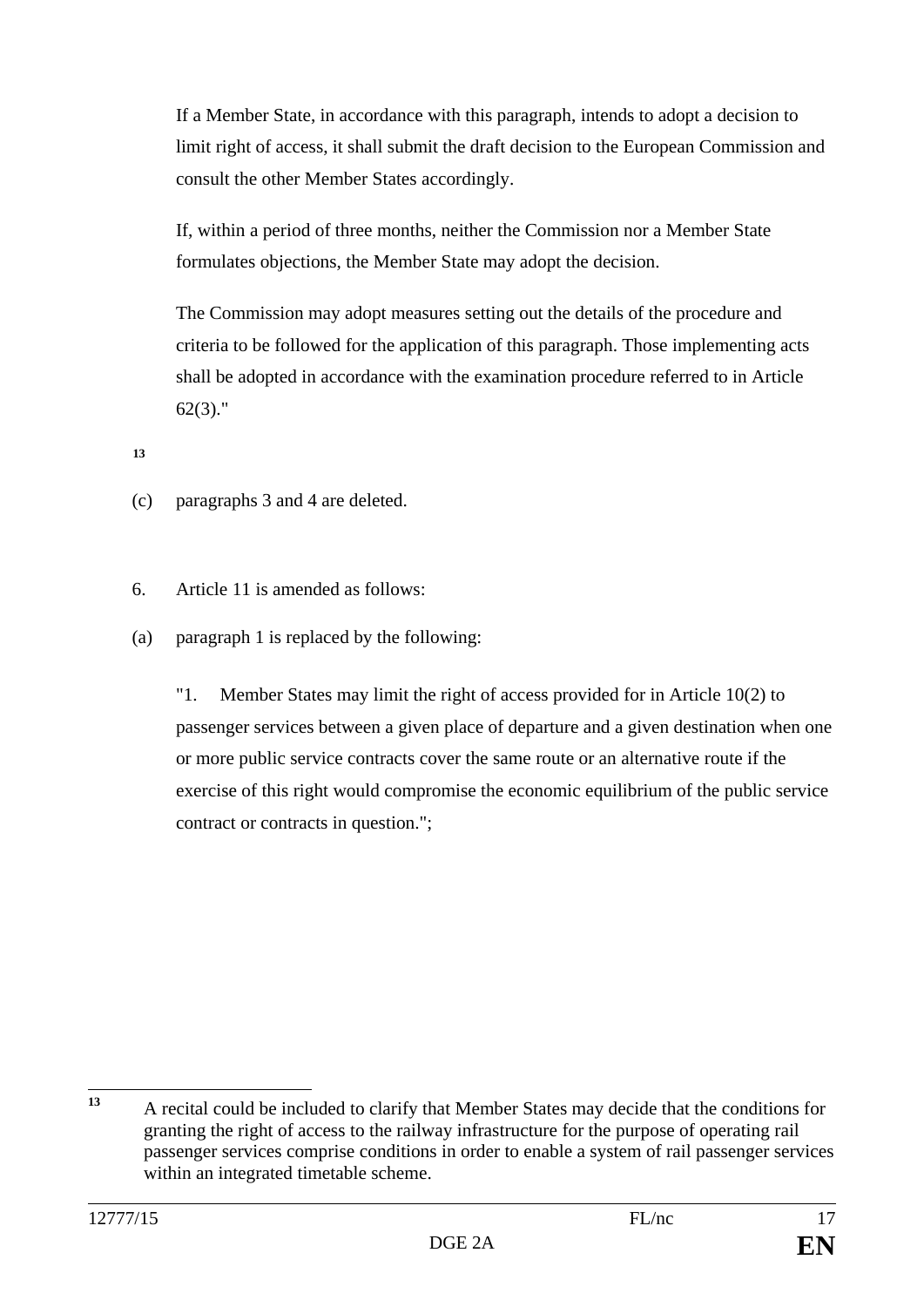If a Member State, in accordance with this paragraph, intends to adopt a decision to limit right of access, it shall submit the draft decision to the European Commission and consult the other Member States accordingly.

If, within a period of three months, neither the Commission nor a Member State formulates objections, the Member State may adopt the decision.

The Commission may adopt measures setting out the details of the procedure and criteria to be followed for the application of this paragraph. Those implementing acts shall be adopted in accordance with the examination procedure referred to in Article 62(3)."

**[13](#page-16-0)**

- (c) paragraphs 3 and 4 are deleted.
- 6. Article 11 is amended as follows:
- (a) paragraph 1 is replaced by the following:

"1. Member States may limit the right of access provided for in Article 10(2) to passenger services between a given place of departure and a given destination when one or more public service contracts cover the same route or an alternative route if the exercise of this right would compromise the economic equilibrium of the public service contract or contracts in question.";

<span id="page-16-0"></span>**<sup>13</sup>** A recital could be included to clarify that Member States may decide that the conditions for granting the right of access to the railway infrastructure for the purpose of operating rail passenger services comprise conditions in order to enable a system of rail passenger services within an integrated timetable scheme.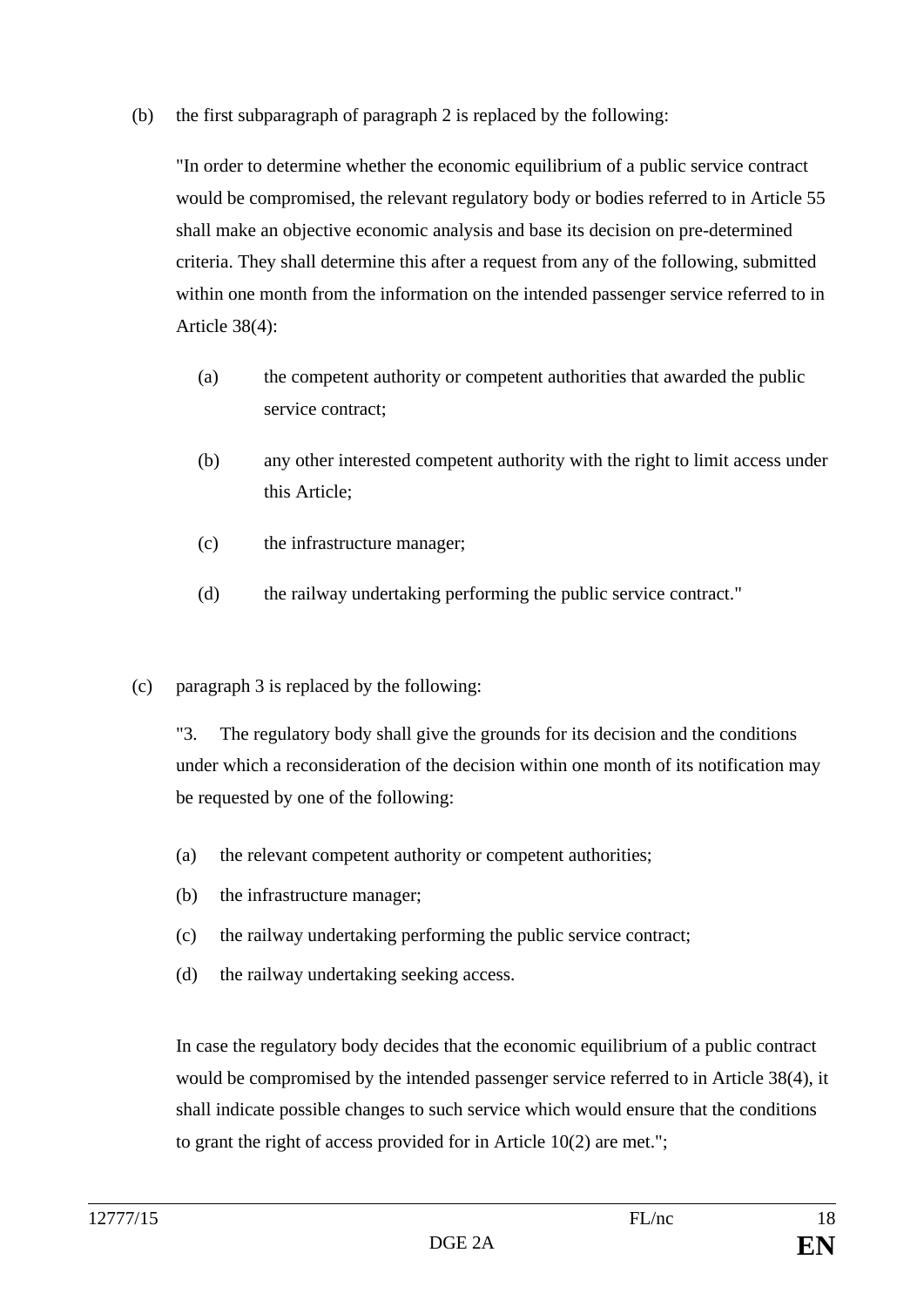(b) the first subparagraph of paragraph 2 is replaced by the following:

"In order to determine whether the economic equilibrium of a public service contract would be compromised, the relevant regulatory body or bodies referred to in Article 55 shall make an objective economic analysis and base its decision on pre-determined criteria. They shall determine this after a request from any of the following, submitted within one month from the information on the intended passenger service referred to in Article 38(4):

- (a) the competent authority or competent authorities that awarded the public service contract;
- (b) any other interested competent authority with the right to limit access under this Article;
- (c) the infrastructure manager;
- (d) the railway undertaking performing the public service contract."
- (c) paragraph 3 is replaced by the following:

"3. The regulatory body shall give the grounds for its decision and the conditions under which a reconsideration of the decision within one month of its notification may be requested by one of the following:

- (a) the relevant competent authority or competent authorities;
- (b) the infrastructure manager;
- (c) the railway undertaking performing the public service contract;
- (d) the railway undertaking seeking access.

In case the regulatory body decides that the economic equilibrium of a public contract would be compromised by the intended passenger service referred to in Article 38(4), it shall indicate possible changes to such service which would ensure that the conditions to grant the right of access provided for in Article 10(2) are met.";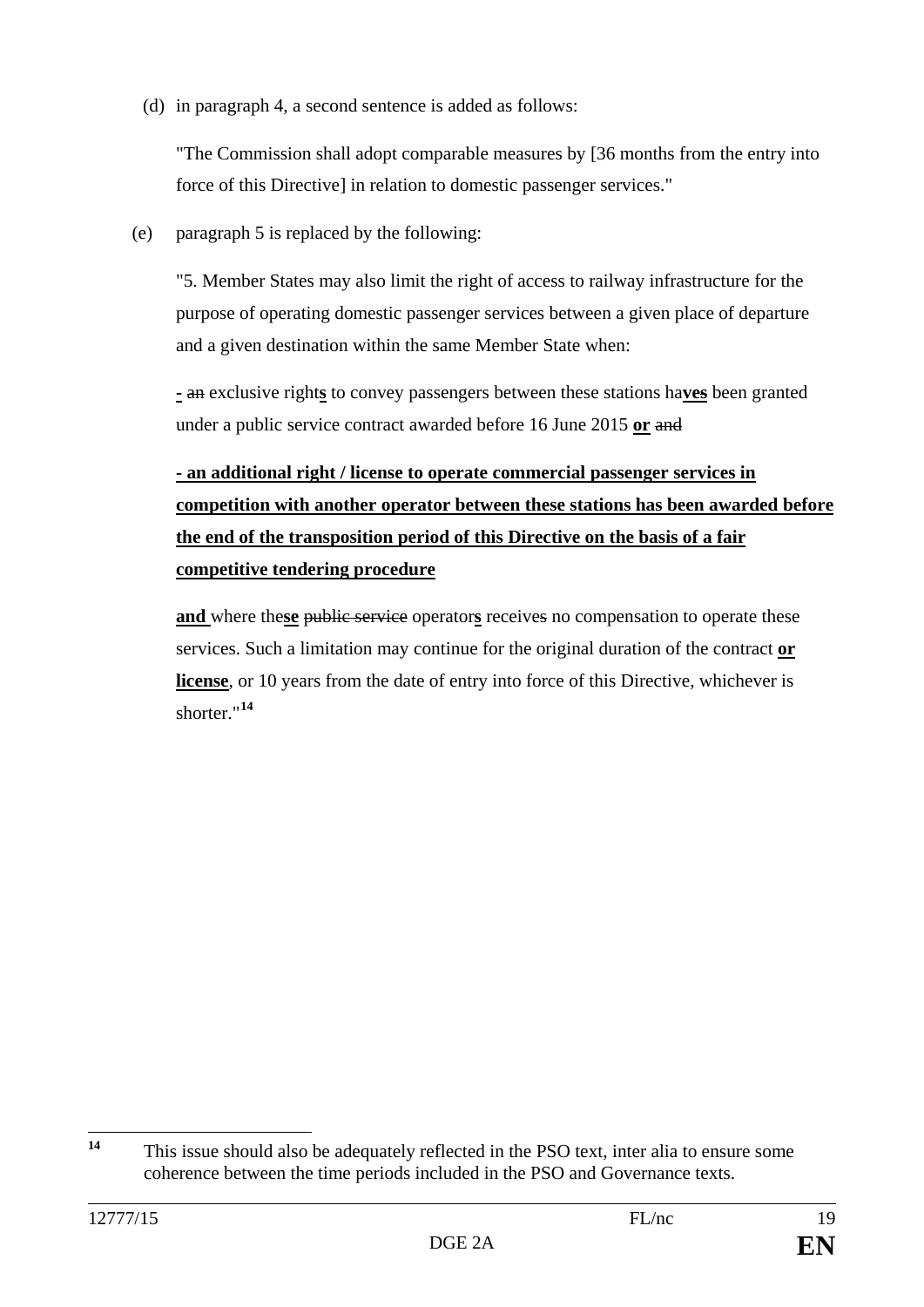(d) in paragraph 4, a second sentence is added as follows:

"The Commission shall adopt comparable measures by [36 months from the entry into force of this Directive] in relation to domestic passenger services."

(e) paragraph 5 is replaced by the following:

"5. Member States may also limit the right of access to railway infrastructure for the purpose of operating domestic passenger services between a given place of departure and a given destination within the same Member State when:

**-** an exclusive right**s** to convey passengers between these stations ha**ves** been granted under a public service contract awarded before 16 June 2015 **or** and

# **- an additional right / license to operate commercial passenger services in competition with another operator between these stations has been awarded before the end of the transposition period of this Directive on the basis of a fair competitive tendering procedure**

**and** where the**se** public service operator**s** receives no compensation to operate these services. Such a limitation may continue for the original duration of the contract **or license**, or 10 years from the date of entry into force of this Directive, whichever is shorter."**[14](#page-18-0)**

<span id="page-18-0"></span>**<sup>14</sup>** This issue should also be adequately reflected in the PSO text, inter alia to ensure some coherence between the time periods included in the PSO and Governance texts.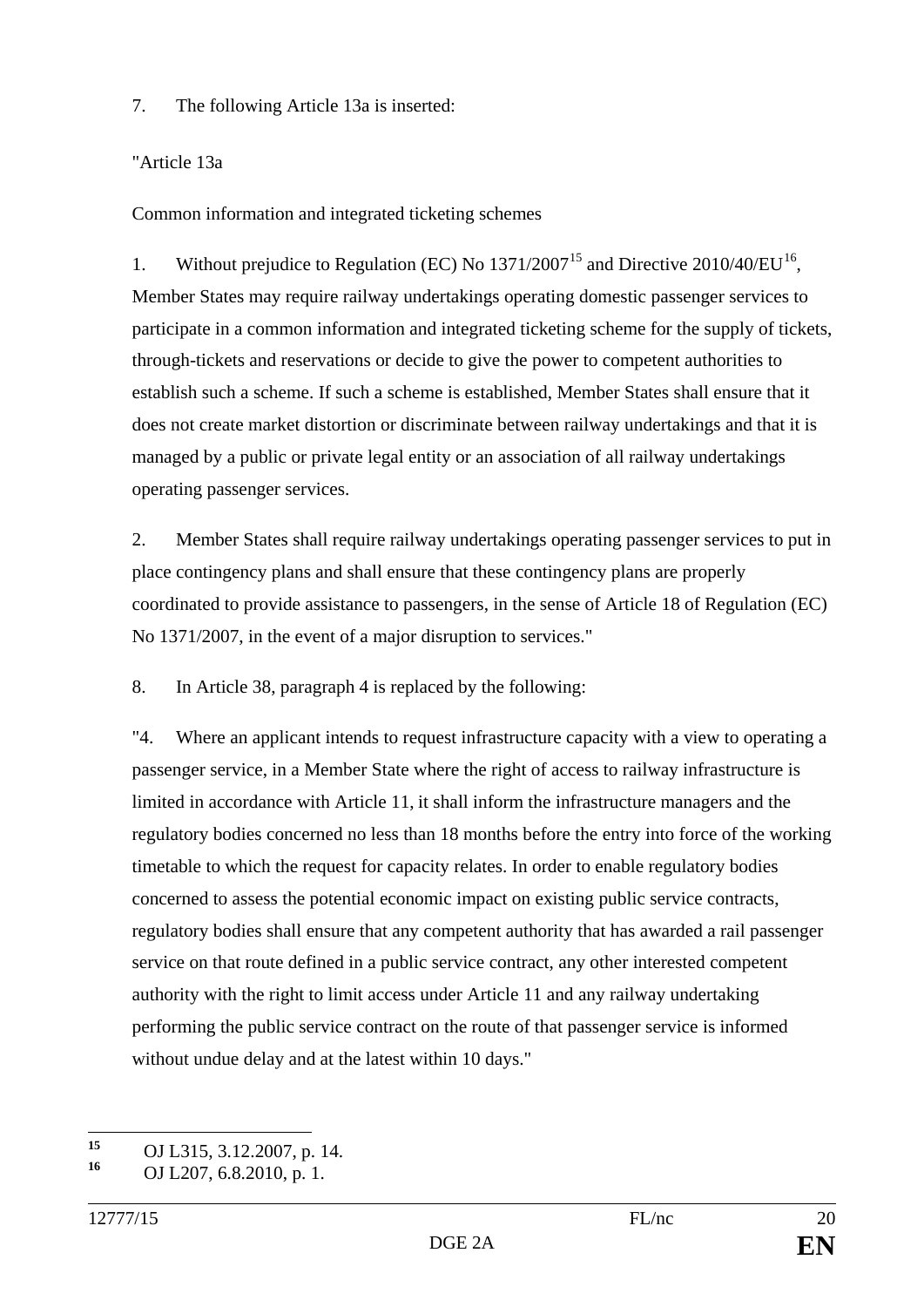7. The following Article 13a is inserted:

#### "Article 13a

Common information and integrated ticketing schemes

1. Without prejudice to Regulation (EC) No  $1371/2007^{15}$  $1371/2007^{15}$  $1371/2007^{15}$  and Directive 2010/40/EU<sup>[16](#page-19-1)</sup>. Member States may require railway undertakings operating domestic passenger services to participate in a common information and integrated ticketing scheme for the supply of tickets, through-tickets and reservations or decide to give the power to competent authorities to establish such a scheme. If such a scheme is established, Member States shall ensure that it does not create market distortion or discriminate between railway undertakings and that it is managed by a public or private legal entity or an association of all railway undertakings operating passenger services.

2. Member States shall require railway undertakings operating passenger services to put in place contingency plans and shall ensure that these contingency plans are properly coordinated to provide assistance to passengers, in the sense of Article 18 of Regulation (EC) No 1371/2007, in the event of a major disruption to services."

8. In Article 38, paragraph 4 is replaced by the following:

"4. Where an applicant intends to request infrastructure capacity with a view to operating a passenger service, in a Member State where the right of access to railway infrastructure is limited in accordance with Article 11, it shall inform the infrastructure managers and the regulatory bodies concerned no less than 18 months before the entry into force of the working timetable to which the request for capacity relates. In order to enable regulatory bodies concerned to assess the potential economic impact on existing public service contracts, regulatory bodies shall ensure that any competent authority that has awarded a rail passenger service on that route defined in a public service contract, any other interested competent authority with the right to limit access under Article 11 and any railway undertaking performing the public service contract on the route of that passenger service is informed without undue delay and at the latest within 10 days."

<span id="page-19-1"></span><span id="page-19-0"></span>**<sup>15</sup>** OJ L315, 3.12.2007, p. 14.

**<sup>16</sup>** OJ L207, 6.8.2010, p. 1.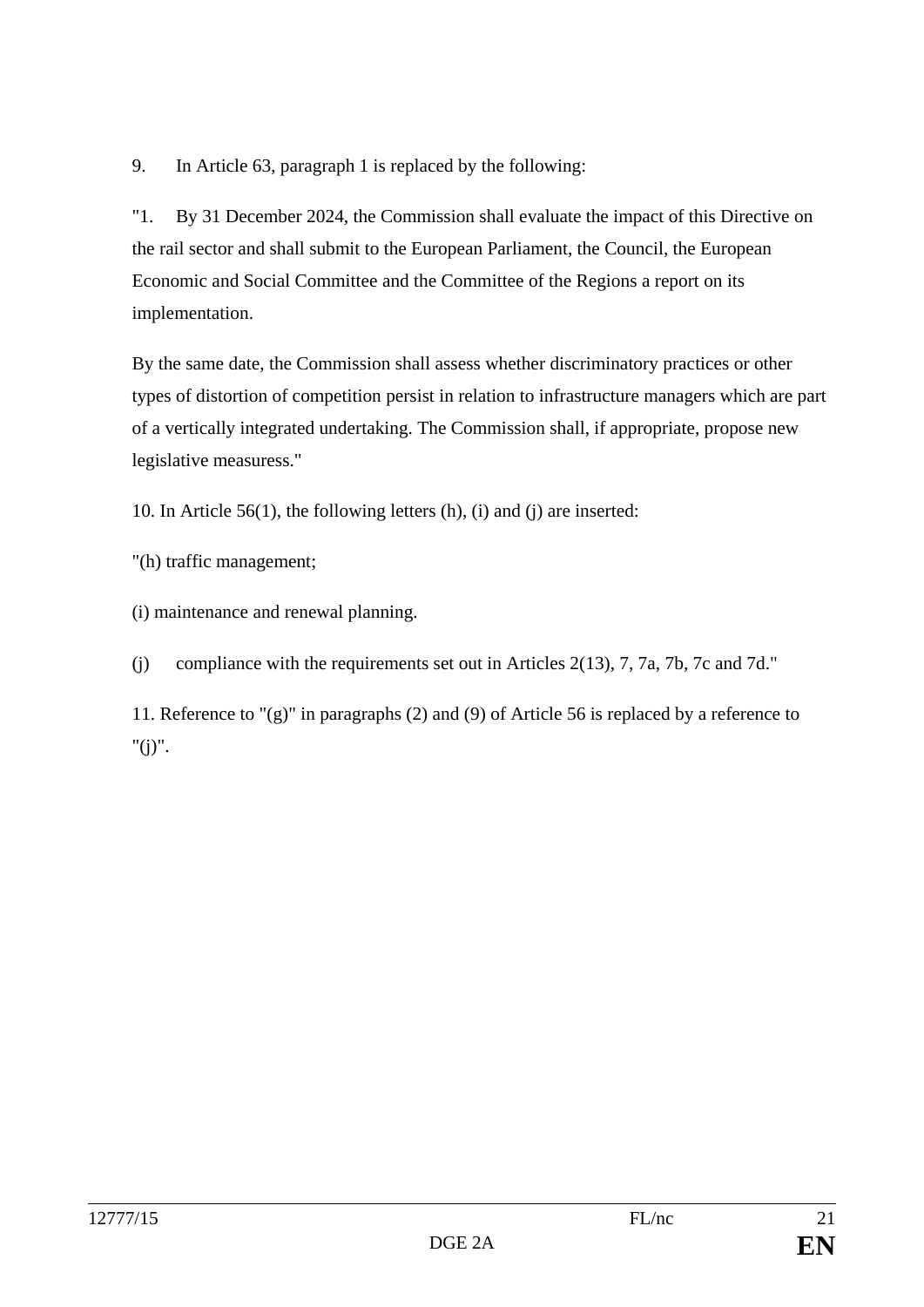9. In Article 63, paragraph 1 is replaced by the following:

"1. By 31 December 2024, the Commission shall evaluate the impact of this Directive on the rail sector and shall submit to the European Parliament, the Council, the European Economic and Social Committee and the Committee of the Regions a report on its implementation.

By the same date, the Commission shall assess whether discriminatory practices or other types of distortion of competition persist in relation to infrastructure managers which are part of a vertically integrated undertaking. The Commission shall, if appropriate, propose new legislative measuress."

10. In Article 56(1), the following letters (h), (i) and (j) are inserted:

"(h) traffic management;

(i) maintenance and renewal planning.

(j) compliance with the requirements set out in Articles 2(13), 7, 7a, 7b, 7c and 7d."

11. Reference to "(g)" in paragraphs (2) and (9) of Article 56 is replaced by a reference to " $(i)$ ".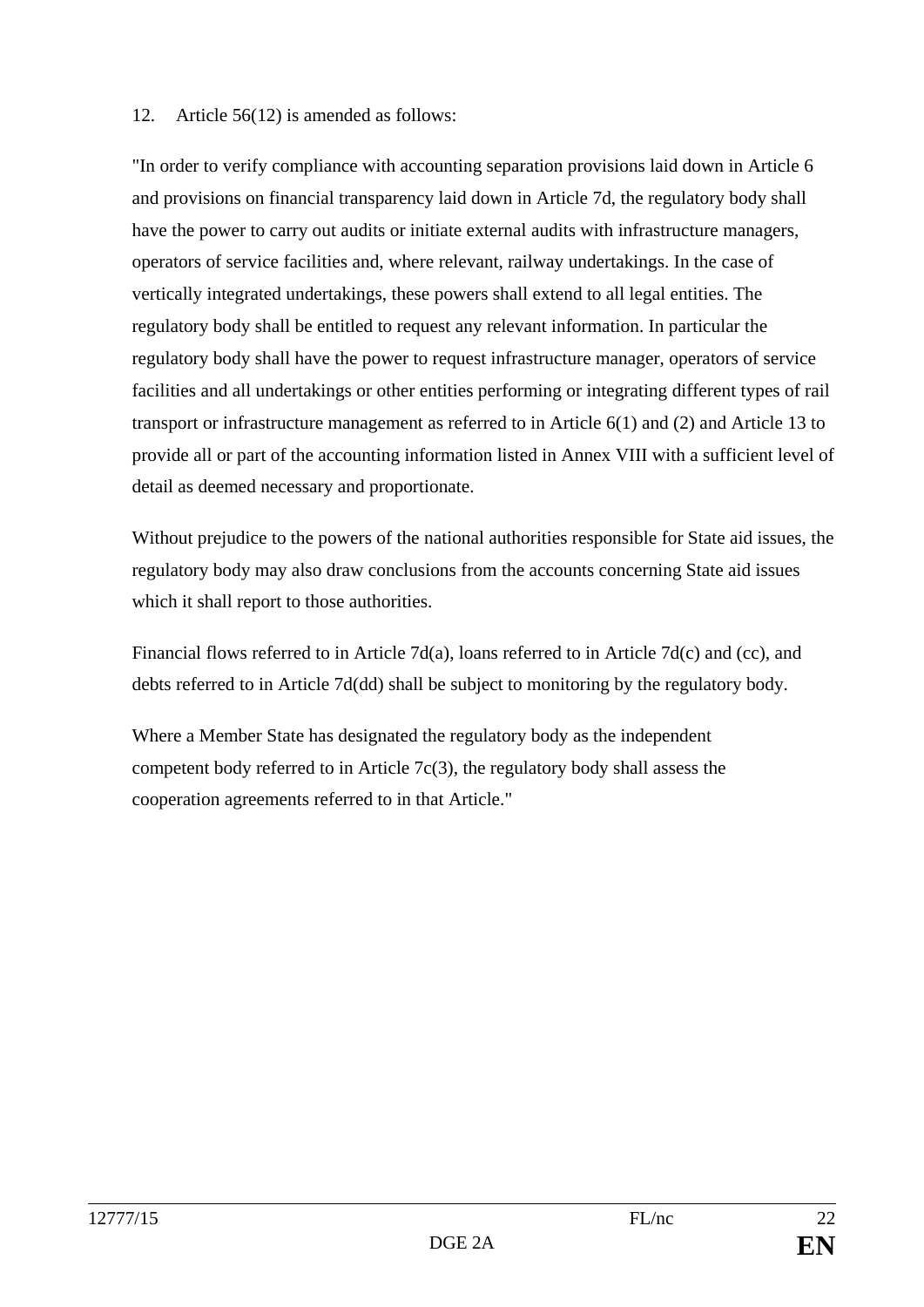#### 12. Article 56(12) is amended as follows:

"In order to verify compliance with accounting separation provisions laid down in Article 6 and provisions on financial transparency laid down in Article 7d, the regulatory body shall have the power to carry out audits or initiate external audits with infrastructure managers, operators of service facilities and, where relevant, railway undertakings. In the case of vertically integrated undertakings, these powers shall extend to all legal entities. The regulatory body shall be entitled to request any relevant information. In particular the regulatory body shall have the power to request infrastructure manager, operators of service facilities and all undertakings or other entities performing or integrating different types of rail transport or infrastructure management as referred to in Article 6(1) and (2) and Article 13 to provide all or part of the accounting information listed in Annex VIII with a sufficient level of detail as deemed necessary and proportionate.

Without prejudice to the powers of the national authorities responsible for State aid issues, the regulatory body may also draw conclusions from the accounts concerning State aid issues which it shall report to those authorities.

Financial flows referred to in Article 7d(a), loans referred to in Article 7d(c) and (cc), and debts referred to in Article 7d(dd) shall be subject to monitoring by the regulatory body.

Where a Member State has designated the regulatory body as the independent competent body referred to in Article 7c(3), the regulatory body shall assess the cooperation agreements referred to in that Article."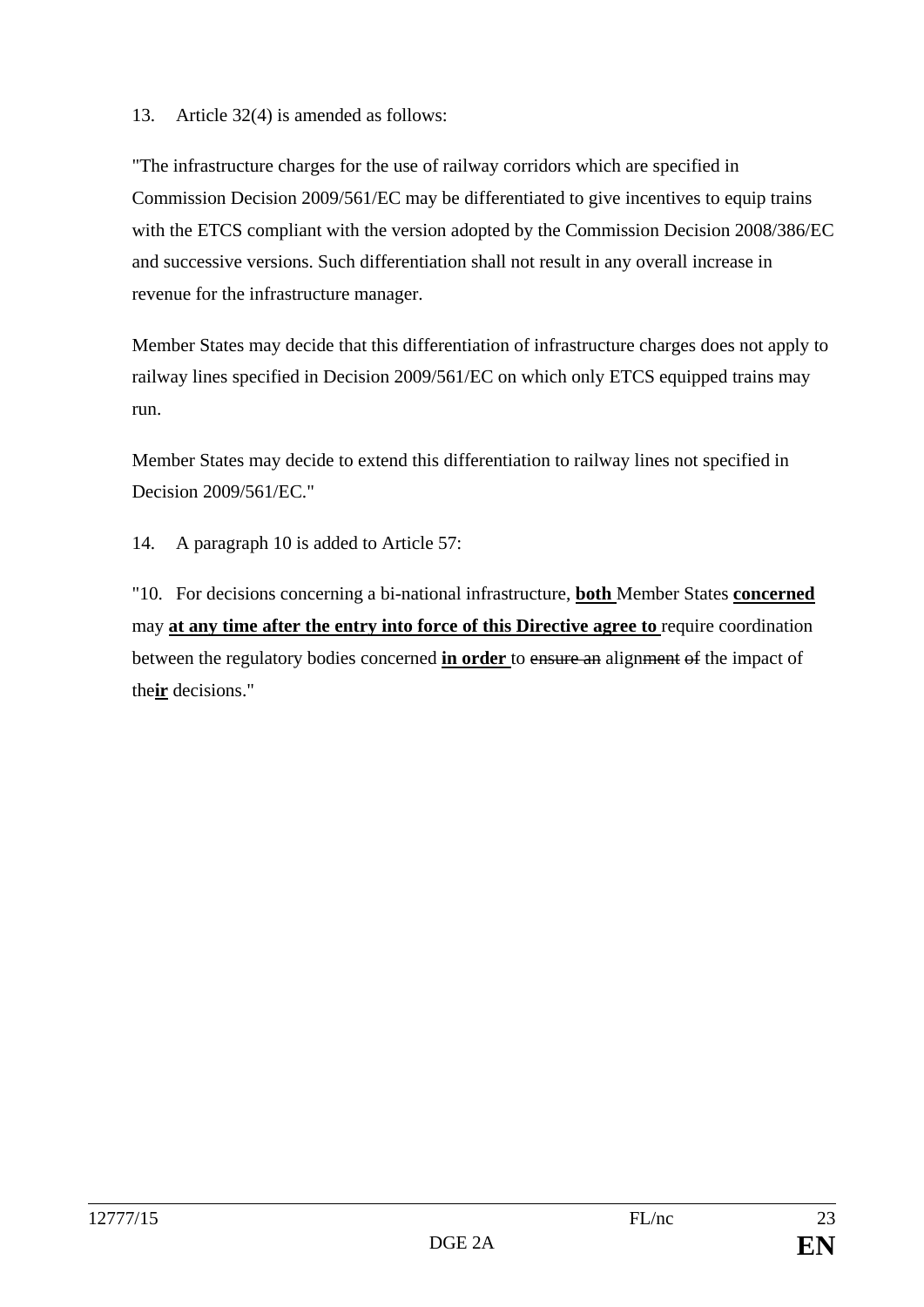#### 13. Article 32(4) is amended as follows:

"The infrastructure charges for the use of railway corridors which are specified in Commission Decision 2009/561/EC may be differentiated to give incentives to equip trains with the ETCS compliant with the version adopted by the Commission Decision 2008/386/EC and successive versions. Such differentiation shall not result in any overall increase in revenue for the infrastructure manager.

Member States may decide that this differentiation of infrastructure charges does not apply to railway lines specified in Decision 2009/561/EC on which only ETCS equipped trains may run.

Member States may decide to extend this differentiation to railway lines not specified in Decision 2009/561/EC."

14. A paragraph 10 is added to Article 57:

"10. For decisions concerning a bi-national infrastructure, **both** Member States **concerned**  may **at any time after the entry into force of this Directive agree to** require coordination between the regulatory bodies concerned **in order** to ensure an alignment of the impact of the**ir** decisions."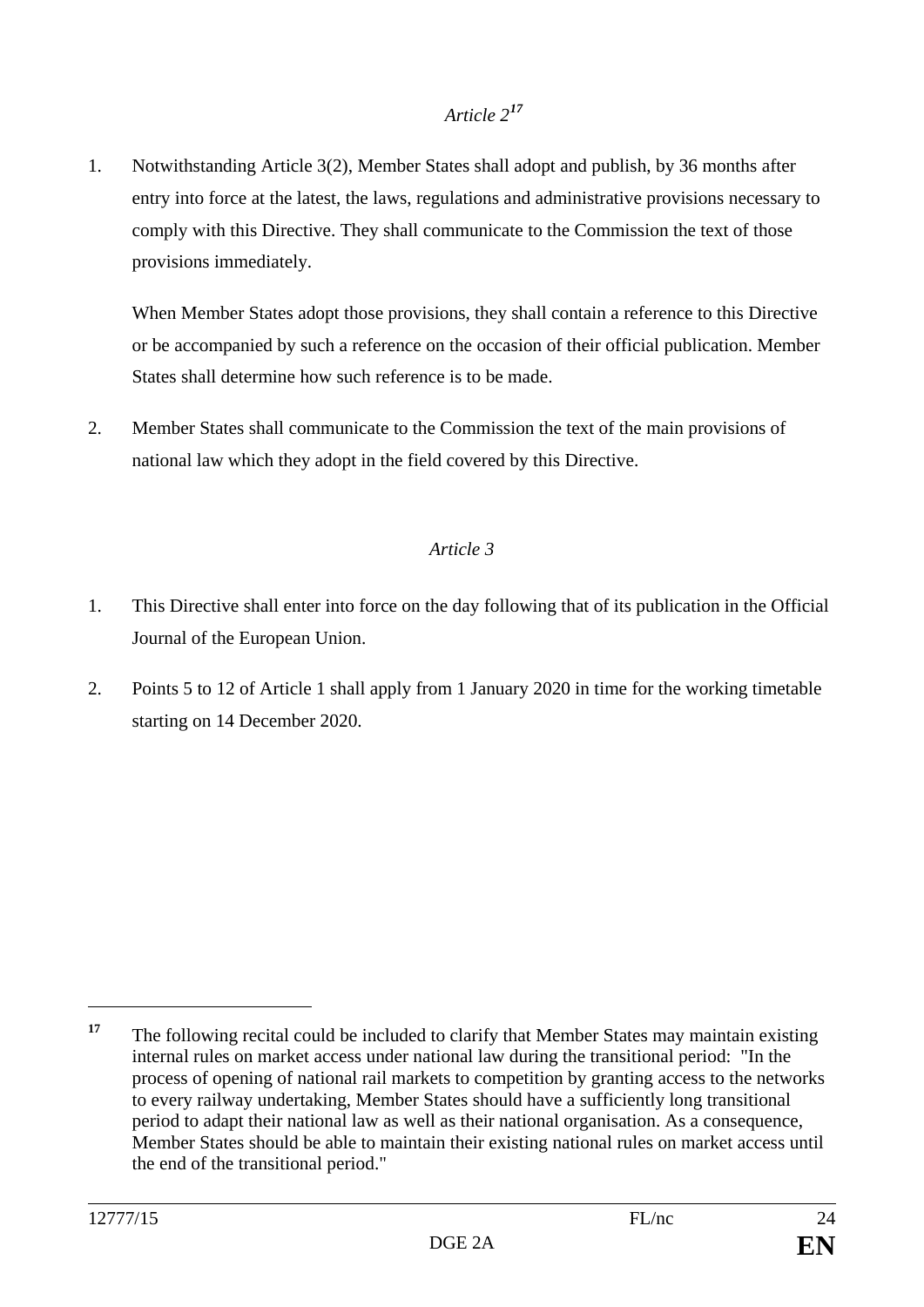# *Article 2[17](#page-23-0)*

1. Notwithstanding Article 3(2), Member States shall adopt and publish, by 36 months after entry into force at the latest, the laws, regulations and administrative provisions necessary to comply with this Directive. They shall communicate to the Commission the text of those provisions immediately.

When Member States adopt those provisions, they shall contain a reference to this Directive or be accompanied by such a reference on the occasion of their official publication. Member States shall determine how such reference is to be made.

2. Member States shall communicate to the Commission the text of the main provisions of national law which they adopt in the field covered by this Directive.

### *Article 3*

- 1. This Directive shall enter into force on the day following that of its publication in the Official Journal of the European Union.
- 2. Points 5 to 12 of Article 1 shall apply from 1 January 2020 in time for the working timetable starting on 14 December 2020.

 $\overline{a}$ 

<span id="page-23-0"></span><sup>&</sup>lt;sup>17</sup> The following recital could be included to clarify that Member States may maintain existing internal rules on market access under national law during the transitional period: "In the process of opening of national rail markets to competition by granting access to the networks to every railway undertaking, Member States should have a sufficiently long transitional period to adapt their national law as well as their national organisation. As a consequence, Member States should be able to maintain their existing national rules on market access until the end of the transitional period."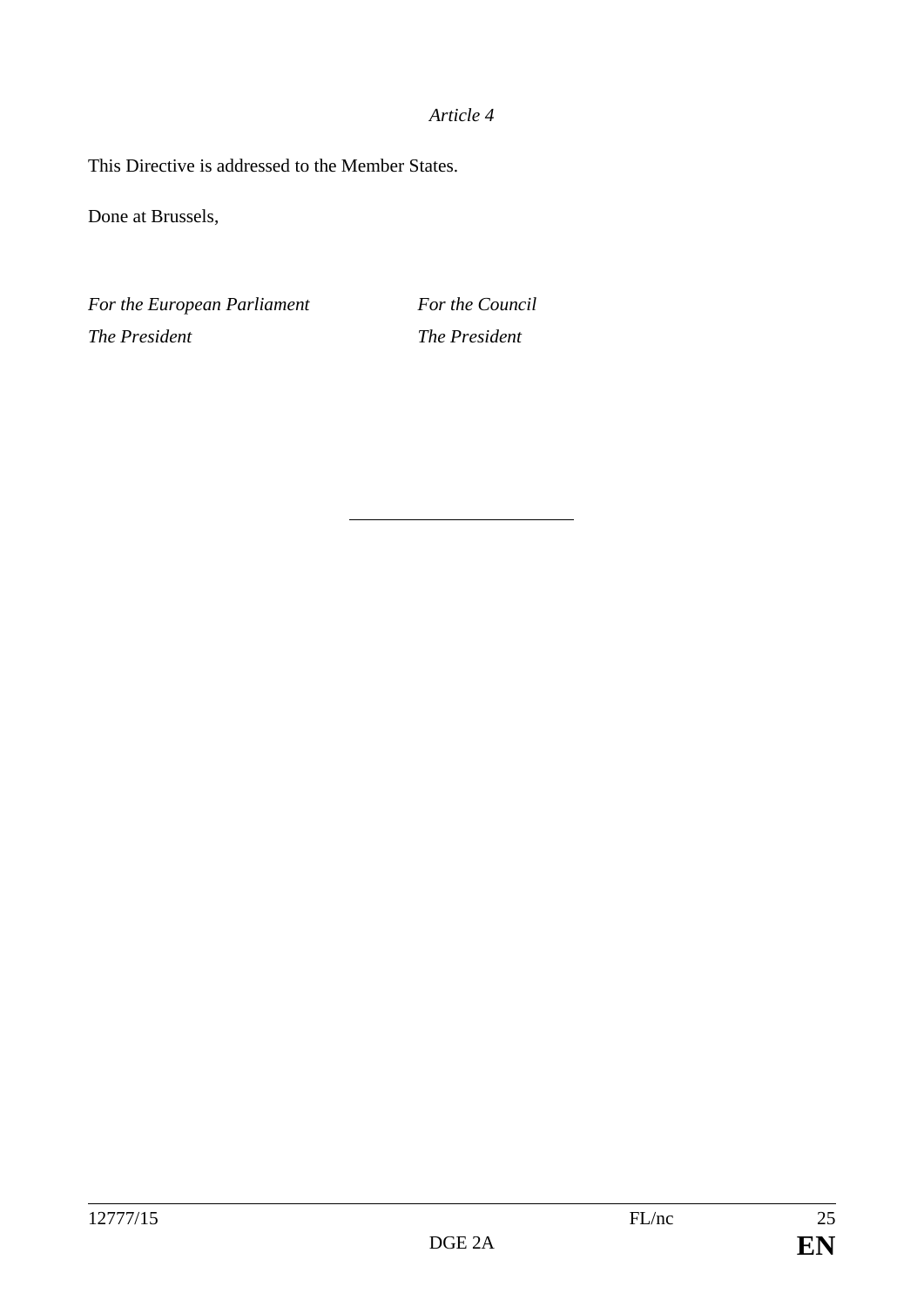#### *Article 4*

This Directive is addressed to the Member States.

Done at Brussels,

*For the European Parliament For the Council The President The President*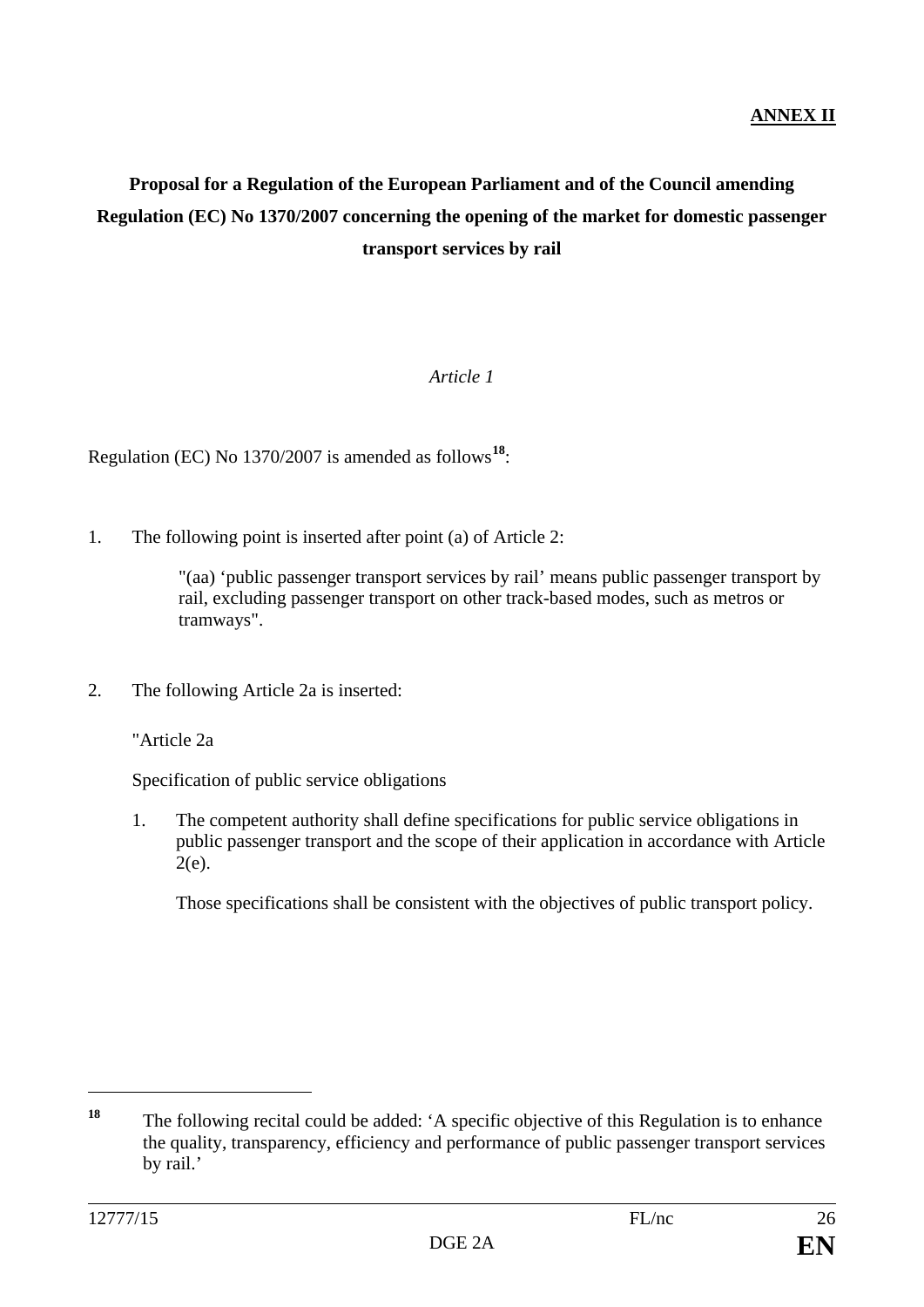# **Proposal for a Regulation of the European Parliament and of the Council amending Regulation (EC) No 1370/2007 concerning the opening of the market for domestic passenger transport services by rail**

#### *Article 1*

Regulation (EC) No 1370/2007 is amended as follows**[18](#page-25-0)**:

1. The following point is inserted after point (a) of Article 2:

"(aa) 'public passenger transport services by rail' means public passenger transport by rail, excluding passenger transport on other track-based modes, such as metros or tramways".

2. The following Article 2a is inserted:

"Article 2a

Specification of public service obligations

1. The competent authority shall define specifications for public service obligations in public passenger transport and the scope of their application in accordance with Article 2(e).

Those specifications shall be consistent with the objectives of public transport policy.

 $\overline{a}$ 

<span id="page-25-0"></span>**<sup>18</sup>** The following recital could be added: 'A specific objective of this Regulation is to enhance the quality, transparency, efficiency and performance of public passenger transport services by rail.'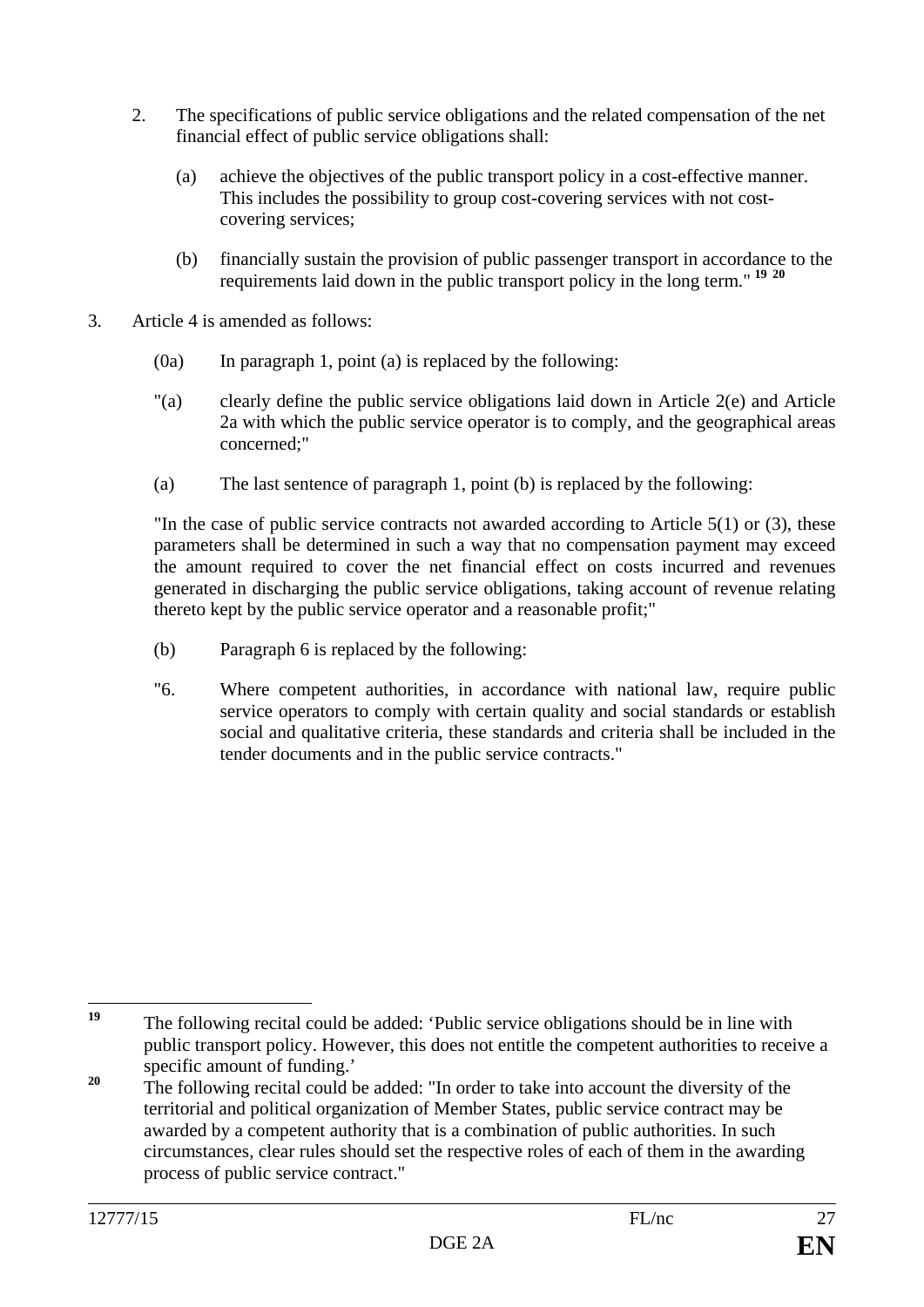- 2. The specifications of public service obligations and the related compensation of the net financial effect of public service obligations shall:
	- (a) achieve the objectives of the public transport policy in a cost-effective manner. This includes the possibility to group cost-covering services with not costcovering services;
	- (b) financially sustain the provision of public passenger transport in accordance to the requirements laid down in the public transport policy in the long term." **[19](#page-26-0) [20](#page-26-1)**
- 3. Article 4 is amended as follows:
	- $(0a)$  In paragraph 1, point (a) is replaced by the following:
	- "(a) clearly define the public service obligations laid down in Article 2(e) and Article 2a with which the public service operator is to comply, and the geographical areas concerned;"
	- (a) The last sentence of paragraph 1, point (b) is replaced by the following:

"In the case of public service contracts not awarded according to Article 5(1) or (3), these parameters shall be determined in such a way that no compensation payment may exceed the amount required to cover the net financial effect on costs incurred and revenues generated in discharging the public service obligations, taking account of revenue relating thereto kept by the public service operator and a reasonable profit;"

- (b) Paragraph 6 is replaced by the following:
- "6. Where competent authorities, in accordance with national law, require public service operators to comply with certain quality and social standards or establish social and qualitative criteria, these standards and criteria shall be included in the tender documents and in the public service contracts."

<span id="page-26-0"></span>**<sup>19</sup>** The following recital could be added: 'Public service obligations should be in line with public transport policy. However, this does not entitle the competent authorities to receive a specific amount of funding.'

<span id="page-26-1"></span><sup>&</sup>lt;sup>20</sup> The following recital could be added: "In order to take into account the diversity of the territorial and political organization of Member States, public service contract may be awarded by a competent authority that is a combination of public authorities. In such circumstances, clear rules should set the respective roles of each of them in the awarding process of public service contract."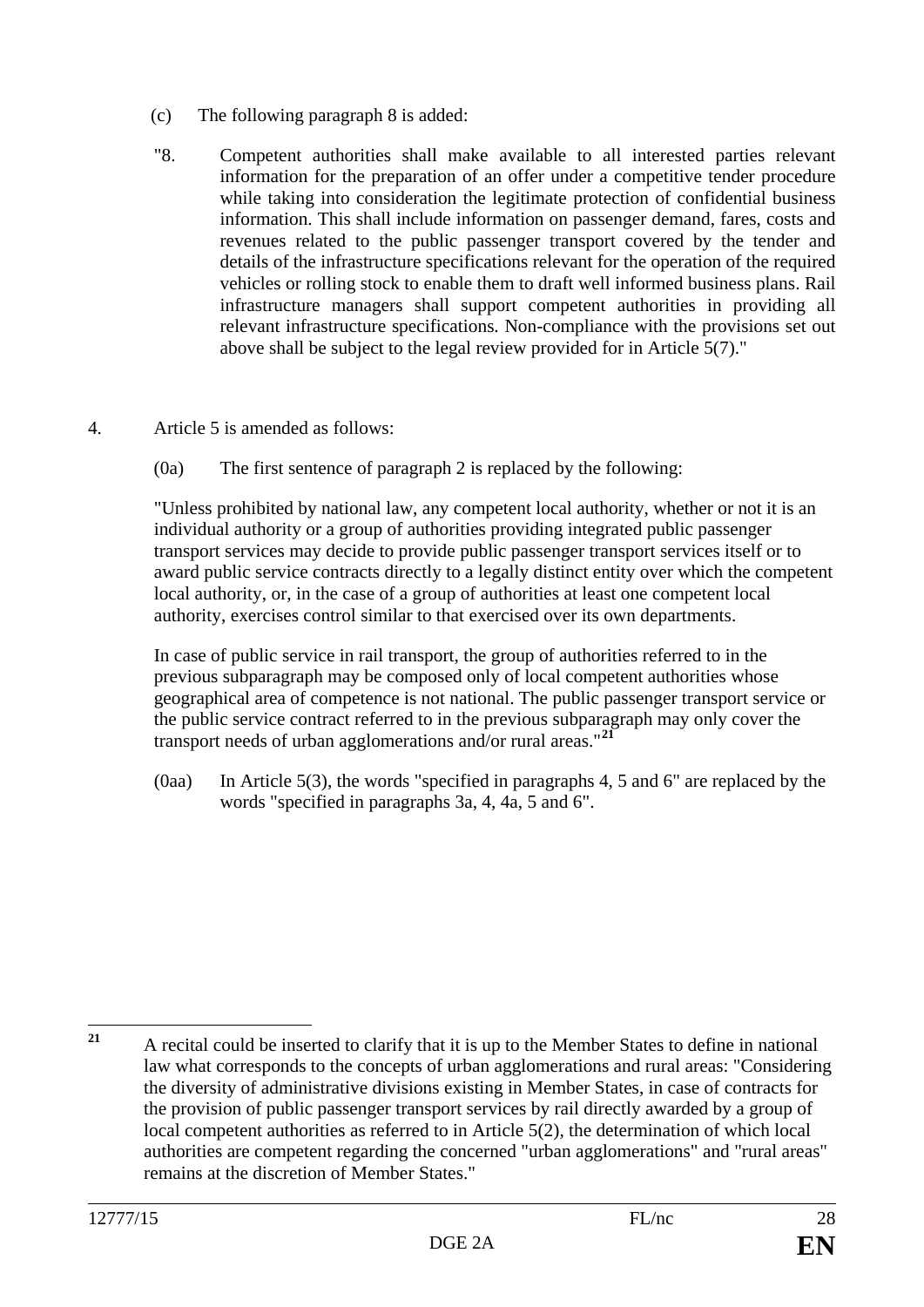- (c) The following paragraph 8 is added:
- "8. Competent authorities shall make available to all interested parties relevant information for the preparation of an offer under a competitive tender procedure while taking into consideration the legitimate protection of confidential business information. This shall include information on passenger demand, fares, costs and revenues related to the public passenger transport covered by the tender and details of the infrastructure specifications relevant for the operation of the required vehicles or rolling stock to enable them to draft well informed business plans. Rail infrastructure managers shall support competent authorities in providing all relevant infrastructure specifications. Non-compliance with the provisions set out above shall be subject to the legal review provided for in Article 5(7)."

#### 4. Article 5 is amended as follows:

(0a) The first sentence of paragraph 2 is replaced by the following:

"Unless prohibited by national law, any competent local authority, whether or not it is an individual authority or a group of authorities providing integrated public passenger transport services may decide to provide public passenger transport services itself or to award public service contracts directly to a legally distinct entity over which the competent local authority, or, in the case of a group of authorities at least one competent local authority, exercises control similar to that exercised over its own departments.

In case of public service in rail transport, the group of authorities referred to in the previous subparagraph may be composed only of local competent authorities whose geographical area of competence is not national. The public passenger transport service or the public service contract referred to in the previous subparagraph may only cover the transport needs of urban agglomerations and/or rural areas."**[21](#page-27-0)**

(0aa) In Article 5(3), the words "specified in paragraphs 4, 5 and 6" are replaced by the words "specified in paragraphs 3a, 4, 4a, 5 and 6".

<span id="page-27-0"></span>**<sup>21</sup>** A recital could be inserted to clarify that it is up to the Member States to define in national law what corresponds to the concepts of urban agglomerations and rural areas: "Considering the diversity of administrative divisions existing in Member States, in case of contracts for the provision of public passenger transport services by rail directly awarded by a group of local competent authorities as referred to in Article 5(2), the determination of which local authorities are competent regarding the concerned "urban agglomerations" and "rural areas" remains at the discretion of Member States."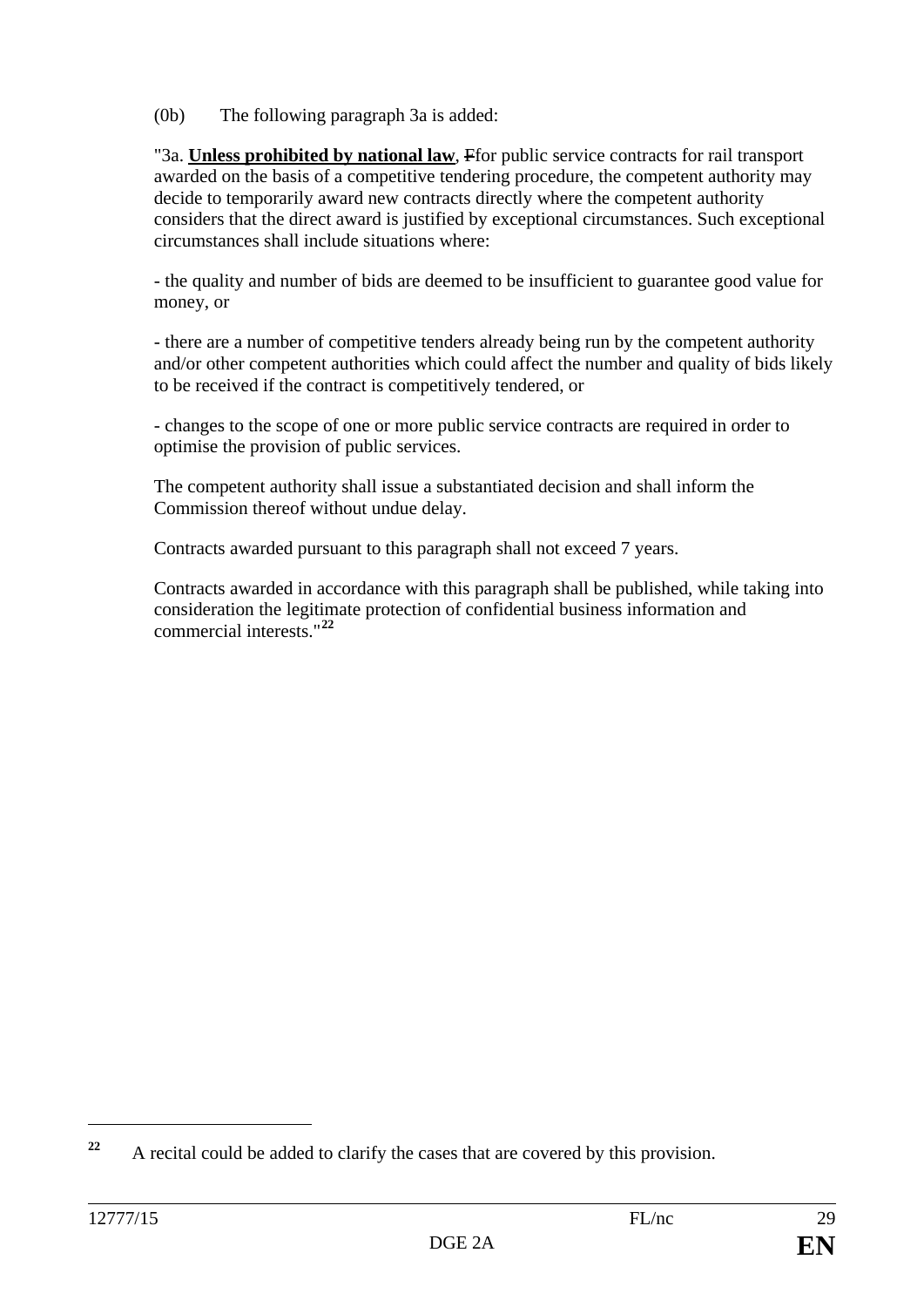(0b) The following paragraph 3a is added:

"3a. **Unless prohibited by national law**, Ffor public service contracts for rail transport awarded on the basis of a competitive tendering procedure, the competent authority may decide to temporarily award new contracts directly where the competent authority considers that the direct award is justified by exceptional circumstances. Such exceptional circumstances shall include situations where:

- the quality and number of bids are deemed to be insufficient to guarantee good value for money, or

- there are a number of competitive tenders already being run by the competent authority and/or other competent authorities which could affect the number and quality of bids likely to be received if the contract is competitively tendered, or

- changes to the scope of one or more public service contracts are required in order to optimise the provision of public services.

The competent authority shall issue a substantiated decision and shall inform the Commission thereof without undue delay.

Contracts awarded pursuant to this paragraph shall not exceed 7 years.

Contracts awarded in accordance with this paragraph shall be published, while taking into consideration the legitimate protection of confidential business information and commercial interests."**[22](#page-28-0)**

 $\overline{a}$ 

<span id="page-28-0"></span>**<sup>22</sup>** A recital could be added to clarify the cases that are covered by this provision.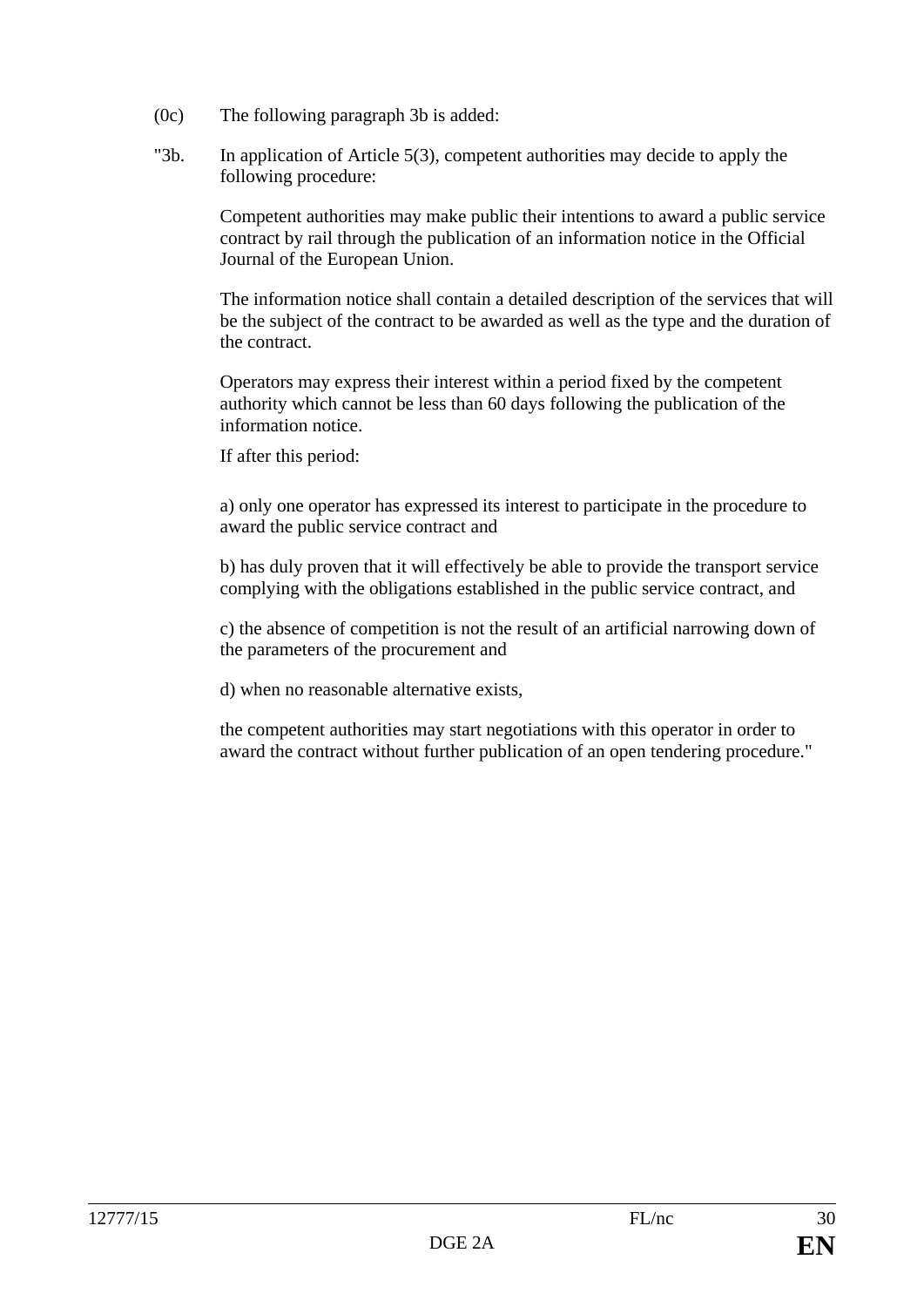- (0c) The following paragraph 3b is added:
- "3b. In application of Article 5(3), competent authorities may decide to apply the following procedure:

Competent authorities may make public their intentions to award a public service contract by rail through the publication of an information notice in the Official Journal of the European Union.

The information notice shall contain a detailed description of the services that will be the subject of the contract to be awarded as well as the type and the duration of the contract.

Operators may express their interest within a period fixed by the competent authority which cannot be less than 60 days following the publication of the information notice.

If after this period:

a) only one operator has expressed its interest to participate in the procedure to award the public service contract and

b) has duly proven that it will effectively be able to provide the transport service complying with the obligations established in the public service contract, and

c) the absence of competition is not the result of an artificial narrowing down of the parameters of the procurement and

d) when no reasonable alternative exists,

the competent authorities may start negotiations with this operator in order to award the contract without further publication of an open tendering procedure."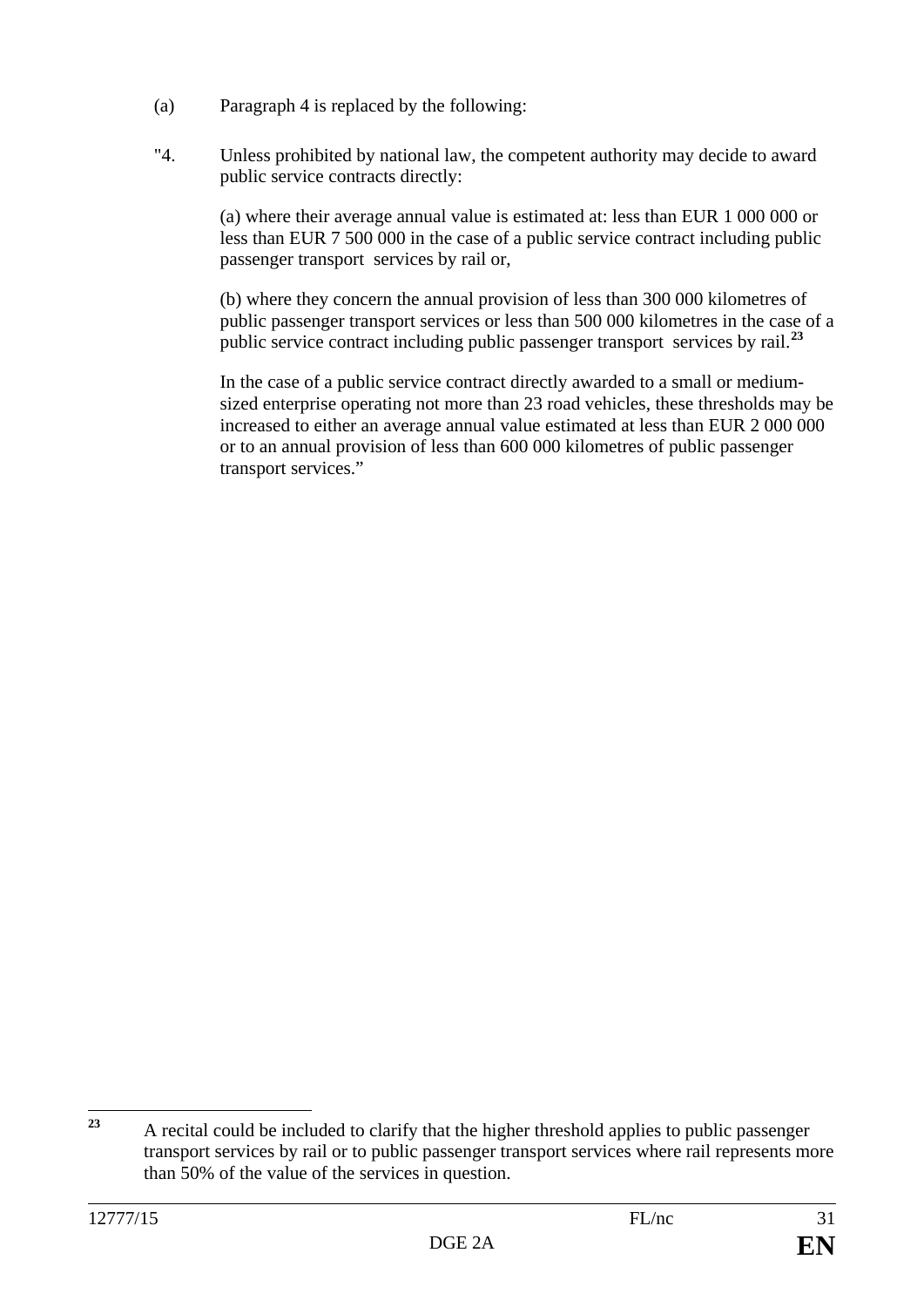- (a) Paragraph 4 is replaced by the following:
- "4. Unless prohibited by national law, the competent authority may decide to award public service contracts directly:

(a) where their average annual value is estimated at: less than EUR 1 000 000 or less than EUR 7 500 000 in the case of a public service contract including public passenger transport services by rail or,

(b) where they concern the annual provision of less than 300 000 kilometres of public passenger transport services or less than 500 000 kilometres in the case of a public service contract including public passenger transport services by rail.**[23](#page-30-0)**

In the case of a public service contract directly awarded to a small or mediumsized enterprise operating not more than 23 road vehicles, these thresholds may be increased to either an average annual value estimated at less than EUR 2 000 000 or to an annual provision of less than 600 000 kilometres of public passenger transport services."

<span id="page-30-0"></span><sup>&</sup>lt;sup>23</sup> A recital could be included to clarify that the higher threshold applies to public passenger transport services by rail or to public passenger transport services where rail represents more than 50% of the value of the services in question.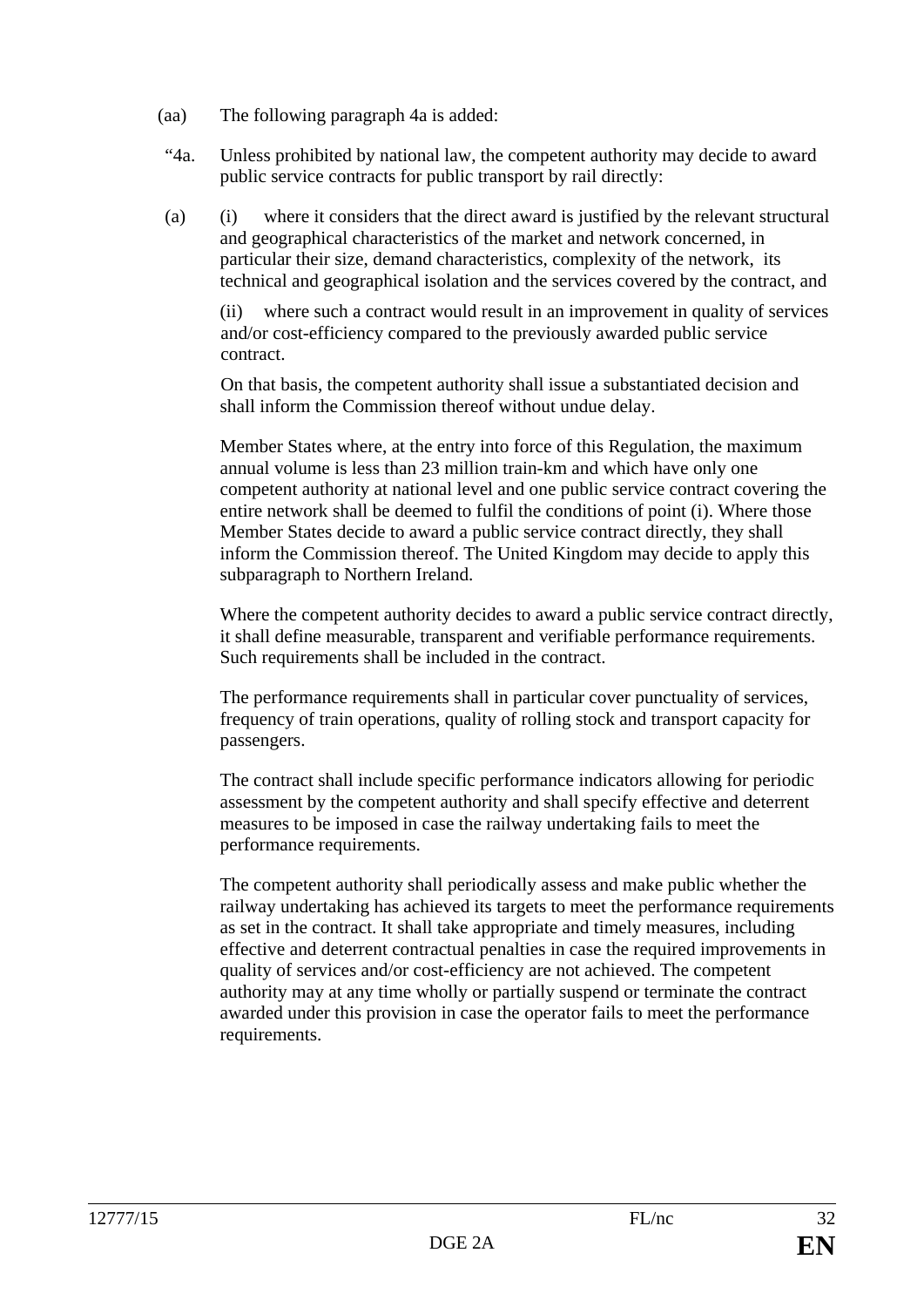- (aa) The following paragraph 4a is added:
- "4a. Unless prohibited by national law, the competent authority may decide to award public service contracts for public transport by rail directly:
- (a) (i) where it considers that the direct award is justified by the relevant structural and geographical characteristics of the market and network concerned, in particular their size, demand characteristics, complexity of the network, its technical and geographical isolation and the services covered by the contract, and

(ii) where such a contract would result in an improvement in quality of services and/or cost-efficiency compared to the previously awarded public service contract.

On that basis, the competent authority shall issue a substantiated decision and shall inform the Commission thereof without undue delay.

Member States where, at the entry into force of this Regulation, the maximum annual volume is less than 23 million train-km and which have only one competent authority at national level and one public service contract covering the entire network shall be deemed to fulfil the conditions of point (i). Where those Member States decide to award a public service contract directly, they shall inform the Commission thereof. The United Kingdom may decide to apply this subparagraph to Northern Ireland.

Where the competent authority decides to award a public service contract directly, it shall define measurable, transparent and verifiable performance requirements. Such requirements shall be included in the contract.

The performance requirements shall in particular cover punctuality of services, frequency of train operations, quality of rolling stock and transport capacity for passengers.

The contract shall include specific performance indicators allowing for periodic assessment by the competent authority and shall specify effective and deterrent measures to be imposed in case the railway undertaking fails to meet the performance requirements.

The competent authority shall periodically assess and make public whether the railway undertaking has achieved its targets to meet the performance requirements as set in the contract. It shall take appropriate and timely measures, including effective and deterrent contractual penalties in case the required improvements in quality of services and/or cost-efficiency are not achieved. The competent authority may at any time wholly or partially suspend or terminate the contract awarded under this provision in case the operator fails to meet the performance requirements.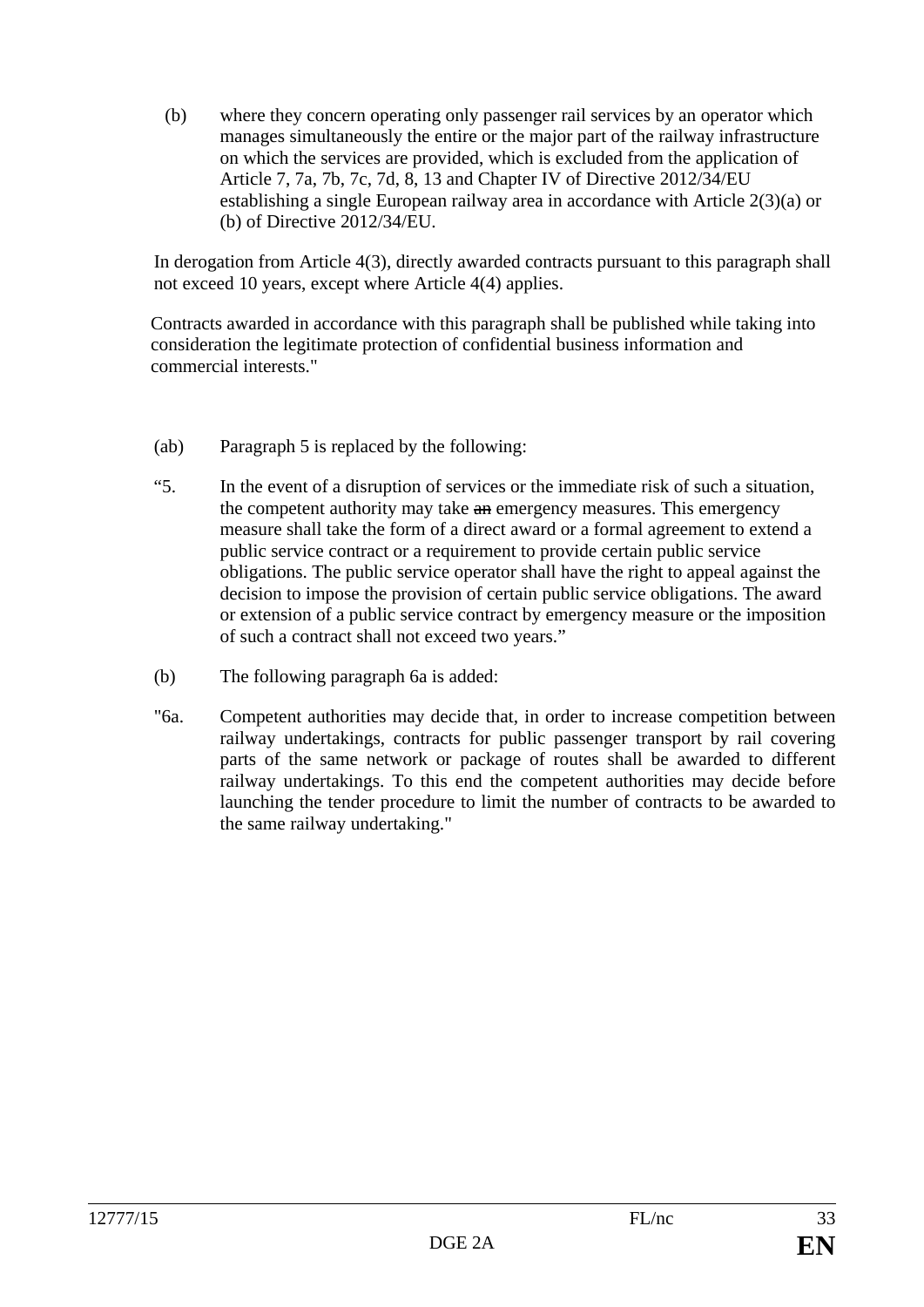(b) where they concern operating only passenger rail services by an operator which manages simultaneously the entire or the major part of the railway infrastructure on which the services are provided, which is excluded from the application of Article 7, 7a, 7b, 7c, 7d, 8, 13 and Chapter IV of Directive 2012/34/EU establishing a single European railway area in accordance with Article 2(3)(a) or (b) of Directive 2012/34/EU.

In derogation from Article 4(3), directly awarded contracts pursuant to this paragraph shall not exceed 10 years, except where Article 4(4) applies.

Contracts awarded in accordance with this paragraph shall be published while taking into consideration the legitimate protection of confidential business information and commercial interests."

- (ab) Paragraph 5 is replaced by the following:
- "5. In the event of a disruption of services or the immediate risk of such a situation, the competent authority may take an emergency measures. This emergency measure shall take the form of a direct award or a formal agreement to extend a public service contract or a requirement to provide certain public service obligations. The public service operator shall have the right to appeal against the decision to impose the provision of certain public service obligations. The award or extension of a public service contract by emergency measure or the imposition of such a contract shall not exceed two years."
- (b) The following paragraph 6a is added:
- "6a. Competent authorities may decide that, in order to increase competition between railway undertakings, contracts for public passenger transport by rail covering parts of the same network or package of routes shall be awarded to different railway undertakings. To this end the competent authorities may decide before launching the tender procedure to limit the number of contracts to be awarded to the same railway undertaking."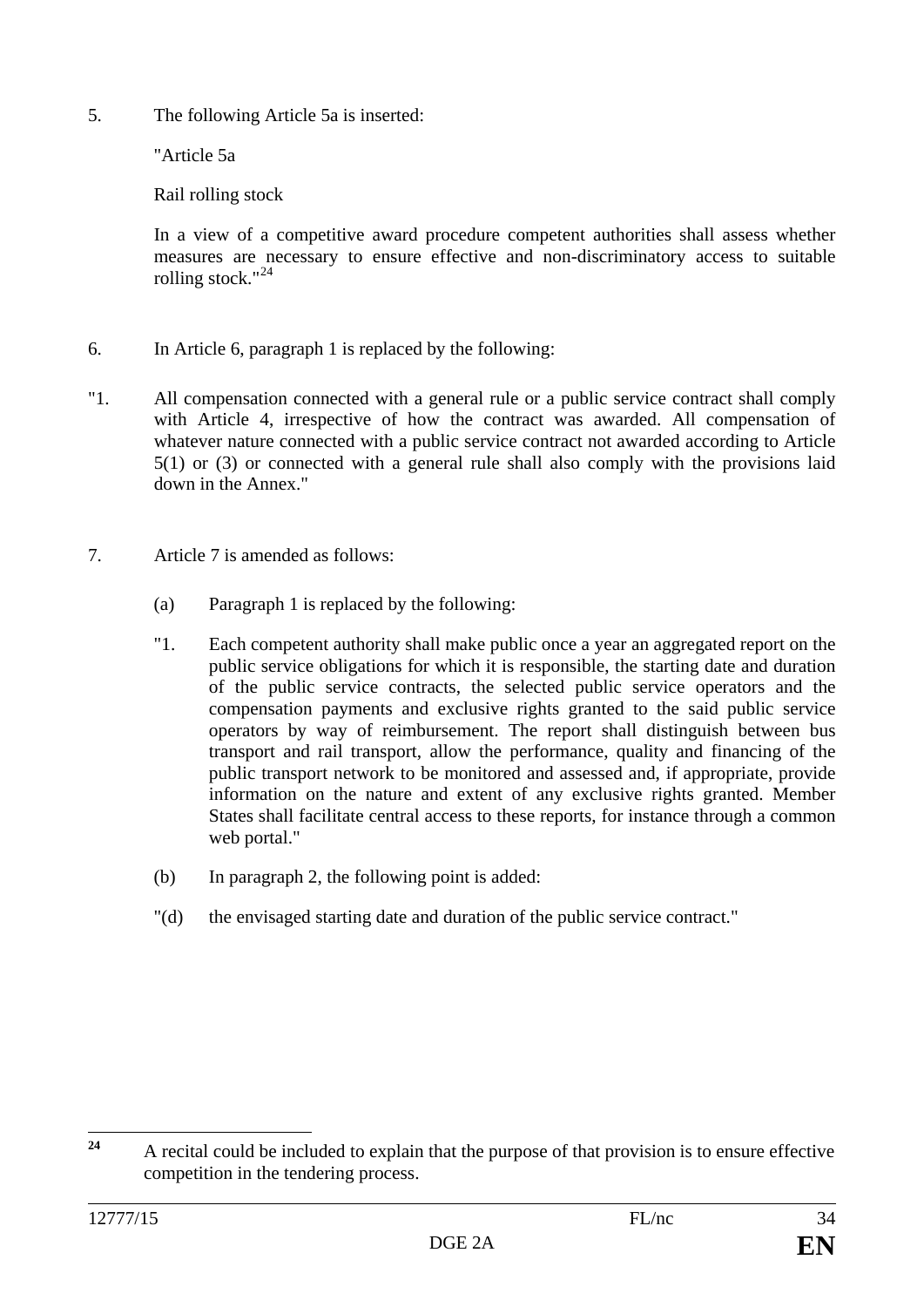5. The following Article 5a is inserted:

"Article 5a

Rail rolling stock

In a view of a competitive award procedure competent authorities shall assess whether measures are necessary to ensure effective and non-discriminatory access to suitable rolling stock."[24](#page-33-0)

- 6. In Article 6, paragraph 1 is replaced by the following:
- "1. All compensation connected with a general rule or a public service contract shall comply with Article 4, irrespective of how the contract was awarded. All compensation of whatever nature connected with a public service contract not awarded according to Article 5(1) or (3) or connected with a general rule shall also comply with the provisions laid down in the Annex."
- 7. Article 7 is amended as follows:
	- (a) Paragraph 1 is replaced by the following:
	- "1. Each competent authority shall make public once a year an aggregated report on the public service obligations for which it is responsible, the starting date and duration of the public service contracts, the selected public service operators and the compensation payments and exclusive rights granted to the said public service operators by way of reimbursement. The report shall distinguish between bus transport and rail transport, allow the performance, quality and financing of the public transport network to be monitored and assessed and, if appropriate, provide information on the nature and extent of any exclusive rights granted. Member States shall facilitate central access to these reports, for instance through a common web portal."
	- (b) In paragraph 2, the following point is added:
	- "(d) the envisaged starting date and duration of the public service contract."

<span id="page-33-0"></span>**<sup>24</sup>** A recital could be included to explain that the purpose of that provision is to ensure effective competition in the tendering process.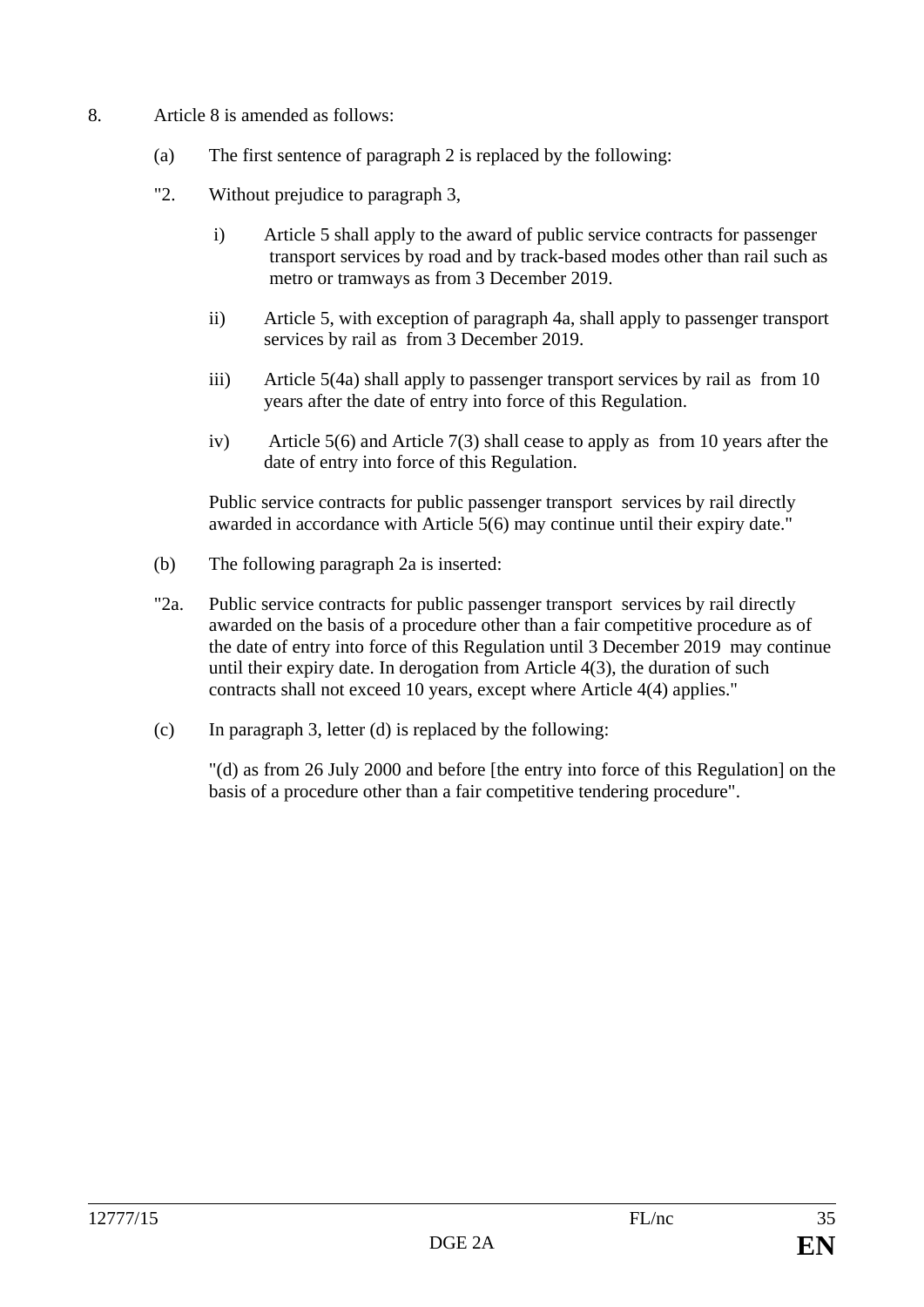- 8. Article 8 is amended as follows:
	- (a) The first sentence of paragraph 2 is replaced by the following:
	- "2. Without prejudice to paragraph 3,
		- i) Article 5 shall apply to the award of public service contracts for passenger transport services by road and by track-based modes other than rail such as metro or tramways as from 3 December 2019.
		- ii) Article 5, with exception of paragraph 4a, shall apply to passenger transport services by rail as from 3 December 2019.
		- iii) Article 5(4a) shall apply to passenger transport services by rail as from 10 years after the date of entry into force of this Regulation.
		- iv) Article 5(6) and Article 7(3) shall cease to apply as from 10 years after the date of entry into force of this Regulation.

Public service contracts for public passenger transport services by rail directly awarded in accordance with Article 5(6) may continue until their expiry date."

- (b) The following paragraph 2a is inserted:
- "2a. Public service contracts for public passenger transport services by rail directly awarded on the basis of a procedure other than a fair competitive procedure as of the date of entry into force of this Regulation until 3 December 2019 may continue until their expiry date. In derogation from Article 4(3), the duration of such contracts shall not exceed 10 years, except where Article 4(4) applies."
- (c) In paragraph 3, letter (d) is replaced by the following:

"(d) as from 26 July 2000 and before [the entry into force of this Regulation] on the basis of a procedure other than a fair competitive tendering procedure".